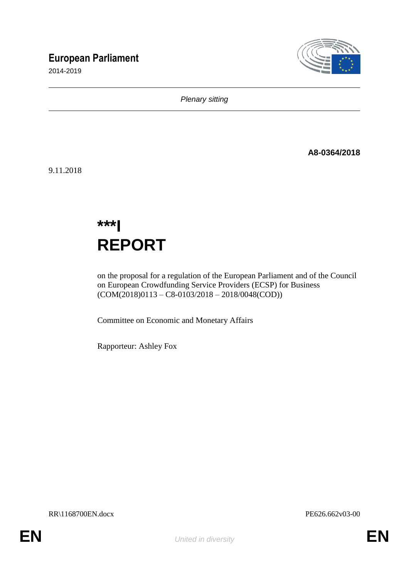## **European Parliament**

2014-2019



*Plenary sitting*

**A8-0364/2018**

9.11.2018

**\*\*\*I REPORT**

on the proposal for a regulation of the European Parliament and of the Council on European Crowdfunding Service Providers (ECSP) for Business  $(COM(2018)0113 - C8 - 0103/2018 - 2018/0048(COD))$ 

Committee on Economic and Monetary Affairs

Rapporteur: Ashley Fox

RR\1168700EN.docx PE626.662v03-00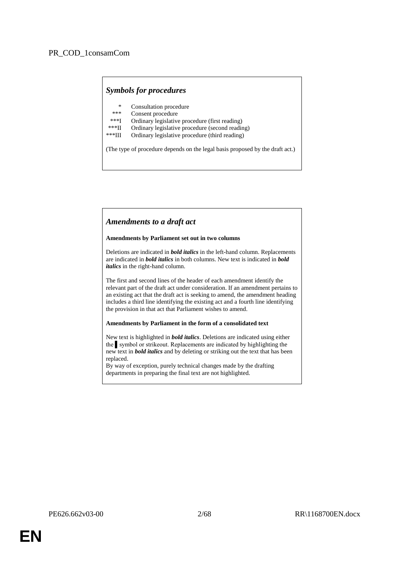#### *Symbols for procedures*

- Consultation procedure
- \*\*\* Consent procedure
- \*\*\*I Ordinary legislative procedure (first reading)
- \*\*\*II Ordinary legislative procedure (second reading)
- Ordinary legislative procedure (third reading)

(The type of procedure depends on the legal basis proposed by the draft act.)

#### *Amendments to a draft act*

#### **Amendments by Parliament set out in two columns**

Deletions are indicated in *bold italics* in the left-hand column. Replacements are indicated in *bold italics* in both columns. New text is indicated in *bold italics* in the right-hand column.

The first and second lines of the header of each amendment identify the relevant part of the draft act under consideration. If an amendment pertains to an existing act that the draft act is seeking to amend, the amendment heading includes a third line identifying the existing act and a fourth line identifying the provision in that act that Parliament wishes to amend.

#### **Amendments by Parliament in the form of a consolidated text**

New text is highlighted in *bold italics*. Deletions are indicated using either the ▌symbol or strikeout. Replacements are indicated by highlighting the new text in *bold italics* and by deleting or striking out the text that has been replaced.

By way of exception, purely technical changes made by the drafting departments in preparing the final text are not highlighted.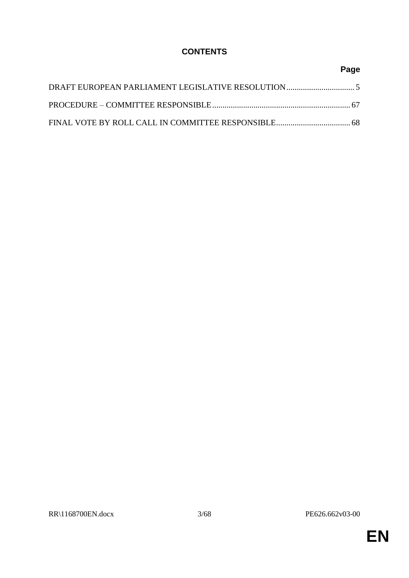#### **CONTENTS**

# DRAFT EUROPEAN PARLIAMENT LEGISLATIVE RESOLUTION................................. 5 PROCEDURE – COMMITTEE RESPONSIBLE................................................................... 67 FINAL VOTE BY ROLL CALL IN COMMITTEE RESPONSIBLE.................................... 68

**Page**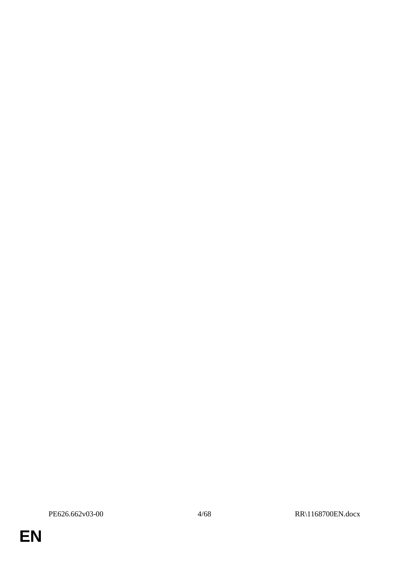PE626.662v03-00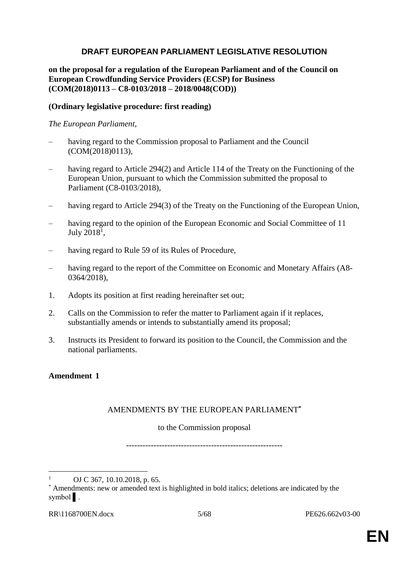#### **DRAFT EUROPEAN PARLIAMENT LEGISLATIVE RESOLUTION**

#### **on the proposal for a regulation of the European Parliament and of the Council on European Crowdfunding Service Providers (ECSP) for Business (COM(2018)0113 – C8-0103/2018 – 2018/0048(COD))**

#### **(Ordinary legislative procedure: first reading)**

#### *The European Parliament*,

- having regard to the Commission proposal to Parliament and the Council (COM(2018)0113),
- having regard to Article 294(2) and Article 114 of the Treaty on the Functioning of the European Union, pursuant to which the Commission submitted the proposal to Parliament (C8-0103/2018),
- having regard to Article 294(3) of the Treaty on the Functioning of the European Union,
- having regard to the opinion of the European Economic and Social Committee of 11 July  $2018<sup>1</sup>$ ,
- having regard to Rule 59 of its Rules of Procedure,
- having regard to the report of the Committee on Economic and Monetary Affairs (A8- 0364/2018),
- 1. Adopts its position at first reading hereinafter set out;
- 2. Calls on the Commission to refer the matter to Parliament again if it replaces, substantially amends or intends to substantially amend its proposal;
- 3. Instructs its President to forward its position to the Council, the Commission and the national parliaments.

#### **Amendment 1**

#### AMENDMENTS BY THE EUROPEAN PARLIAMENT**\***

to the Commission proposal

---------------------------------------------------------

1

<sup>&</sup>lt;sup>1</sup> OJ C 367, 10.10.2018, p. 65.

<sup>\*</sup> Amendments: new or amended text is highlighted in bold italics; deletions are indicated by the symbol .

RR\1168700EN.docx 5/68 PE626.662v03-00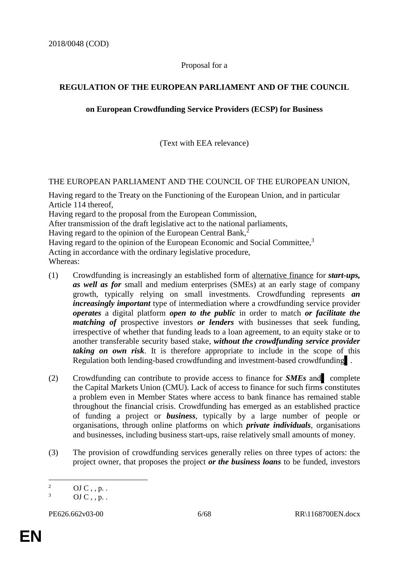#### Proposal for a

#### **REGULATION OF THE EUROPEAN PARLIAMENT AND OF THE COUNCIL**

**on European Crowdfunding Service Providers (ECSP) for Business**

(Text with EEA relevance)

#### THE EUROPEAN PARLIAMENT AND THE COUNCIL OF THE EUROPEAN UNION,

Having regard to the Treaty on the Functioning of the European Union, and in particular Article 114 thereof,

Having regard to the proposal from the European Commission,

After transmission of the draft legislative act to the national parliaments,

Having regard to the opinion of the European Central Bank,<sup>2</sup>

Having regard to the opinion of the European Economic and Social Committee,<sup>3</sup>

Acting in accordance with the ordinary legislative procedure,

Whereas:

- (1) Crowdfunding is increasingly an established form of [alternative finance](https://en.wikipedia.org/wiki/Alternative_Finance) for *start-ups, as well as for* small and medium enterprises (SMEs) at an early stage of company growth, typically relying on small investments. Crowdfunding represents *an increasingly important* type of intermediation where a crowdfunding service provider *operates* a digital platform *open to the public* in order to match *or facilitate the matching of* prospective investors *or lenders* with businesses that seek funding, irrespective of whether that funding leads to a loan agreement, to an equity stake or to another transferable security based stake, *without the crowdfunding service provider taking on own risk*. It is therefore appropriate to include in the scope of this Regulation both lending-based crowdfunding and investment-based crowdfunding .
- (2) Crowdfunding can contribute to provide access to finance for **SMEs** and complete the Capital Markets Union (CMU). Lack of access to finance for such firms constitutes a problem even in Member States where access to bank finance has remained stable throughout the financial crisis. Crowdfunding has emerged as an established practice of funding a project or *business*, typically by a large number of people or organisations, through online platforms on which *private individuals*, organisations and businesses, including business start-ups, raise relatively small amounts of money.
- (3) The provision of crowdfunding services generally relies on three types of actors: the project owner, that proposes the project *or the business loans* to be funded, investors

<sup>&</sup>lt;u>.</u>  $\frac{2}{3}$  OJ C, , p. .

 $OJ C$ , , p. .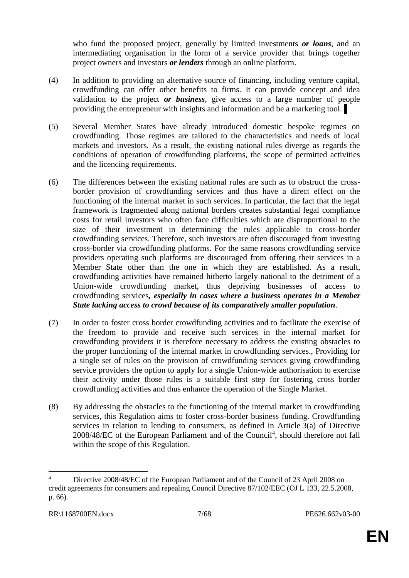who fund the proposed project, generally by limited investments *or loans*, and an intermediating organisation in the form of a service provider that brings together project owners and investors *or lenders* through an online platform.

- (4) In addition to providing an alternative source of financing, including venture capital, crowdfunding can offer other benefits to firms. It can provide concept and idea validation to the project *or business*, give access to a large number of people providing the entrepreneur with insights and information and be a marketing tool.
- (5) Several Member States have already introduced domestic bespoke regimes on crowdfunding. Those regimes are tailored to the characteristics and needs of local markets and investors. As a result, the existing national rules diverge as regards the conditions of operation of crowdfunding platforms, the scope of permitted activities and the licencing requirements.
- (6) The differences between the existing national rules are such as to obstruct the crossborder provision of crowdfunding services and thus have a direct effect on the functioning of the internal market in such services. In particular, the fact that the legal framework is fragmented along national borders creates substantial legal compliance costs for retail investors who often face difficulties which are disproportional to the size of their investment in determining the rules applicable to cross-border crowdfunding services. Therefore, such investors are often discouraged from investing cross-border via crowdfunding platforms. For the same reasons crowdfunding service providers operating such platforms are discouraged from offering their services in a Member State other than the one in which they are established. As a result, crowdfunding activities have remained hitherto largely national to the detriment of a Union-wide crowdfunding market, thus depriving businesses of access to crowdfunding services*, especially in cases where a business operates in a Member State lacking access to crowd because of its comparatively smaller population*.
- (7) In order to foster cross border crowdfunding activities and to facilitate the exercise of the freedom to provide and receive such services in the internal market for crowdfunding providers it is therefore necessary to address the existing obstacles to the proper functioning of the internal market in crowdfunding services., Providing for a single set of rules on the provision of crowdfunding services giving crowdfunding service providers the option to apply for a single Union-wide authorisation to exercise their activity under those rules is a suitable first step for fostering cross border crowdfunding activities and thus enhance the operation of the Single Market.
- (8) By addressing the obstacles to the functioning of the internal market in crowdfunding services, this Regulation aims to foster cross-border business funding. Crowdfunding services in relation to lending to consumers, as defined in Article 3(a) of Directive 2008/48/EC of the European Parliament and of the Council<sup>4</sup>, should therefore not fall within the scope of this Regulation.

1

<sup>4</sup> Directive 2008/48/EC of the European Parliament and of the Council of 23 April 2008 on credit agreements for consumers and repealing Council Directive 87/102/EEC (OJ L 133, 22.5.2008, p. 66).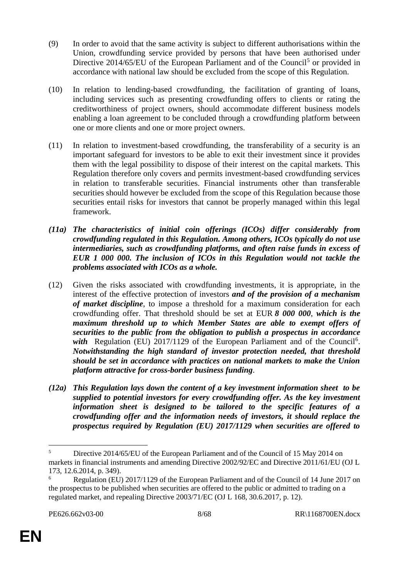- (9) In order to avoid that the same activity is subject to different authorisations within the Union, crowdfunding service provided by persons that have been authorised under Directive 2014/65/EU of the European Parliament and of the Council<sup>5</sup> or provided in accordance with national law should be excluded from the scope of this Regulation.
- (10) In relation to lending-based crowdfunding, the facilitation of granting of loans, including services such as presenting crowdfunding offers to clients or rating the creditworthiness of project owners, should accommodate different business models enabling a loan agreement to be concluded through a crowdfunding platform between one or more clients and one or more project owners.
- (11) In relation to investment-based crowdfunding, the transferability of a security is an important safeguard for investors to be able to exit their investment since it provides them with the legal possibility to dispose of their interest on the capital markets. This Regulation therefore only covers and permits investment-based crowdfunding services in relation to transferable securities. Financial instruments other than transferable securities should however be excluded from the scope of this Regulation because those securities entail risks for investors that cannot be properly managed within this legal framework.
- *(11a) The characteristics of initial coin offerings (ICOs) differ considerably from crowdfunding regulated in this Regulation. Among others, ICOs typically do not use intermediaries, such as crowdfunding platforms, and often raise funds in excess of EUR 1 000 000. The inclusion of ICOs in this Regulation would not tackle the problems associated with ICOs as a whole.*
- (12) Given the risks associated with crowdfunding investments, it is appropriate, in the interest of the effective protection of investors *and of the provision of a mechanism of market discipline*, to impose a threshold for a maximum consideration for each crowdfunding offer. That threshold should be set at EUR *8 000 000*, *which is the maximum threshold up to which Member States are able to exempt offers of securities to the public from the obligation to publish a prospectus in accordance*  with Regulation (EU) 2017/1129 of the European Parliament and of the Council<sup>6</sup>. *Notwithstanding the high standard of investor protection needed, that threshold should be set in accordance with practices on national markets to make the Union platform attractive for cross-border business funding*.
- *(12a) This Regulation lays down the content of a key investment information sheet to be supplied to potential investors for every crowdfunding offer. As the key investment information sheet is designed to be tailored to the specific features of a crowdfunding offer and the information needs of investors, it should replace the prospectus required by Regulation (EU) 2017/1129 when securities are offered to*

<sup>&</sup>lt;u>.</u> <sup>5</sup> Directive 2014/65/EU of the European Parliament and of the Council of 15 May 2014 on markets in financial instruments and amending Directive 2002/92/EC and Directive 2011/61/EU (OJ L 173, 12.6.2014, p. 349).

<sup>&</sup>lt;sup>6</sup> Regulation (EU) 2017/1129 of the European Parliament and of the Council of 14 June 2017 on the prospectus to be published when securities are offered to the public or admitted to trading on a regulated market, and repealing Directive 2003/71/EC (OJ L 168, 30.6.2017, p. 12).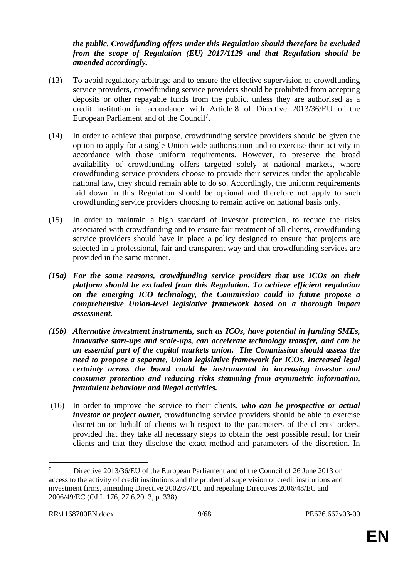#### *the public. Crowdfunding offers under this Regulation should therefore be excluded from the scope of Regulation (EU) 2017/1129 and that Regulation should be amended accordingly.*

- (13) To avoid regulatory arbitrage and to ensure the effective supervision of crowdfunding service providers, crowdfunding service providers should be prohibited from accepting deposits or other repayable funds from the public, unless they are authorised as a credit institution in accordance with Article 8 of Directive 2013/36/EU of the European Parliament and of the Council<sup>7</sup>.
- (14) In order to achieve that purpose, crowdfunding service providers should be given the option to apply for a single Union-wide authorisation and to exercise their activity in accordance with those uniform requirements. However, to preserve the broad availability of crowdfunding offers targeted solely at national markets, where crowdfunding service providers choose to provide their services under the applicable national law, they should remain able to do so. Accordingly, the uniform requirements laid down in this Regulation should be optional and therefore not apply to such crowdfunding service providers choosing to remain active on national basis only.
- (15) In order to maintain a high standard of investor protection, to reduce the risks associated with crowdfunding and to ensure fair treatment of all clients, crowdfunding service providers should have in place a policy designed to ensure that projects are selected in a professional, fair and transparent way and that crowdfunding services are provided in the same manner.
- *(15a) For the same reasons, crowdfunding service providers that use ICOs on their platform should be excluded from this Regulation. To achieve efficient regulation on the emerging ICO technology, the Commission could in future propose a comprehensive Union-level legislative framework based on a thorough impact assessment.*
- *(15b) Alternative investment instruments, such as ICOs, have potential in funding SMEs, innovative start-ups and scale-ups, can accelerate technology transfer, and can be an essential part of the capital markets union. The Commission should assess the need to propose a separate, Union legislative framework for ICOs. Increased legal certainty across the board could be instrumental in increasing investor and consumer protection and reducing risks stemming from asymmetric information, fraudulent behaviour and illegal activities.*
- (16) In order to improve the service to their clients, *who can be prospective or actual investor or project owner,* crowdfunding service providers should be able to exercise discretion on behalf of clients with respect to the parameters of the clients' orders, provided that they take all necessary steps to obtain the best possible result for their clients and that they disclose the exact method and parameters of the discretion. In

1

<sup>7</sup> Directive 2013/36/EU of the European Parliament and of the Council of 26 June 2013 on access to the activity of credit institutions and the prudential supervision of credit institutions and investment firms, amending Directive 2002/87/EC and repealing Directives 2006/48/EC and 2006/49/EC (OJ L 176, 27.6.2013, p. 338).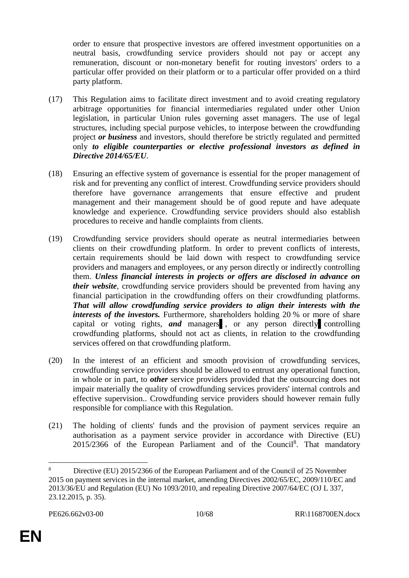order to ensure that prospective investors are offered investment opportunities on a neutral basis, crowdfunding service providers should not pay or accept any remuneration, discount or non-monetary benefit for routing investors' orders to a particular offer provided on their platform or to a particular offer provided on a third party platform.

- (17) This Regulation aims to facilitate direct investment and to avoid creating regulatory arbitrage opportunities for financial intermediaries regulated under other Union legislation, in particular Union rules governing asset managers. The use of legal structures, including special purpose vehicles, to interpose between the crowdfunding project *or business* and investors, should therefore be strictly regulated and permitted only *to eligible counterparties or elective professional investors as defined in Directive 2014/65/EU*.
- (18) Ensuring an effective system of governance is essential for the proper management of risk and for preventing any conflict of interest. Crowdfunding service providers should therefore have governance arrangements that ensure effective and prudent management and their management should be of good repute and have adequate knowledge and experience. Crowdfunding service providers should also establish procedures to receive and handle complaints from clients.
- (19) Crowdfunding service providers should operate as neutral intermediaries between clients on their crowdfunding platform. In order to prevent conflicts of interests, certain requirements should be laid down with respect to crowdfunding service providers and managers and employees, or any person directly or indirectly controlling them. *Unless financial interests in projects or offers are disclosed in advance on their website*, crowdfunding service providers should be prevented from having any financial participation in the crowdfunding offers on their crowdfunding platforms. *That will allow crowdfunding service providers to align their interests with the interests of the investors.* Furthermore, shareholders holding 20 % or more of share capital or voting rights, *and* managers, or any person directly controlling crowdfunding platforms, should not act as clients, in relation to the crowdfunding services offered on that crowdfunding platform.
- (20) In the interest of an efficient and smooth provision of crowdfunding services, crowdfunding service providers should be allowed to entrust any operational function, in whole or in part, to *other* service providers provided that the outsourcing does not impair materially the quality of crowdfunding services providers' internal controls and effective supervision.. Crowdfunding service providers should however remain fully responsible for compliance with this Regulation.
- (21) The holding of clients' funds and the provision of payment services require an authorisation as a payment service provider in accordance with Directive (EU) 2015/2366 of the European Parliament and of the Council<sup>8</sup>. That mandatory

 $\bf 8$ <sup>8</sup> Directive (EU) 2015/2366 of the European Parliament and of the Council of 25 November 2015 on payment services in the internal market, amending Directives 2002/65/EC, 2009/110/EC and 2013/36/EU and Regulation (EU) No 1093/2010, and repealing Directive 2007/64/EC (OJ L 337, 23.12.2015, p. 35).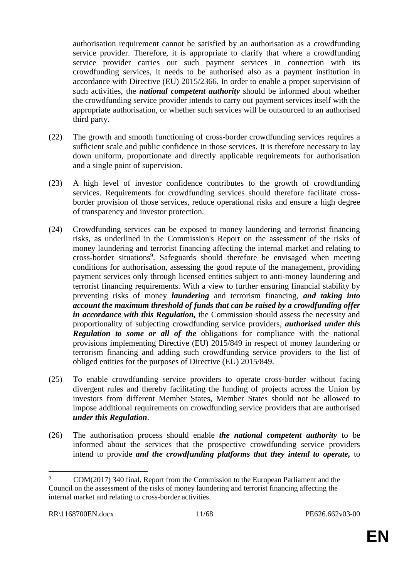authorisation requirement cannot be satisfied by an authorisation as a crowdfunding service provider. Therefore, it is appropriate to clarify that where a crowdfunding service provider carries out such payment services in connection with its crowdfunding services, it needs to be authorised also as a payment institution in accordance with Directive (EU) 2015/2366. In order to enable a proper supervision of such activities, the *national competent authority* should be informed about whether the crowdfunding service provider intends to carry out payment services itself with the appropriate authorisation, or whether such services will be outsourced to an authorised third party.

- (22) The growth and smooth functioning of cross-border crowdfunding services requires a sufficient scale and public confidence in those services. It is therefore necessary to lay down uniform, proportionate and directly applicable requirements for authorisation and a single point of supervision.
- (23) A high level of investor confidence contributes to the growth of crowdfunding services. Requirements for crowdfunding services should therefore facilitate crossborder provision of those services, reduce operational risks and ensure a high degree of transparency and investor protection.
- (24) Crowdfunding services can be exposed to money laundering and terrorist financing risks, as underlined in the Commission's Report on the assessment of the risks of money laundering and terrorist financing affecting the internal market and relating to cross-border situations<sup>9</sup>. Safeguards should therefore be envisaged when meeting conditions for authorisation, assessing the good repute of the management, providing payment services only through licensed entities subject to anti-money laundering and terrorist financing requirements. With a view to further ensuring financial stability by preventing risks of money *laundering* and terrorism financing, *and taking into account the maximum threshold of funds that can be raised by a crowdfunding offer in accordance with this Regulation,* the Commission should assess the necessity and proportionality of subjecting crowdfunding service providers, *authorised under this Regulation to some or all of the* obligations for compliance with the national provisions implementing Directive (EU) 2015/849 in respect of money laundering or terrorism financing and adding such crowdfunding service providers to the list of obliged entities for the purposes of Directive (EU) 2015/849.
- (25) To enable crowdfunding service providers to operate cross-border without facing divergent rules and thereby facilitating the funding of projects across the Union by investors from different Member States, Member States should not be allowed to impose additional requirements on crowdfunding service providers that are authorised *under this Regulation*.
- (26) The authorisation process should enable *the national competent authority* to be informed about the services that the prospective crowdfunding service providers intend to provide *and the crowdfunding platforms that they intend to operate,* to

1

<sup>9</sup> COM(2017) 340 final, Report from the Commission to the European Parliament and the Council on the assessment of the risks of money laundering and terrorist financing affecting the internal market and relating to cross-border activities.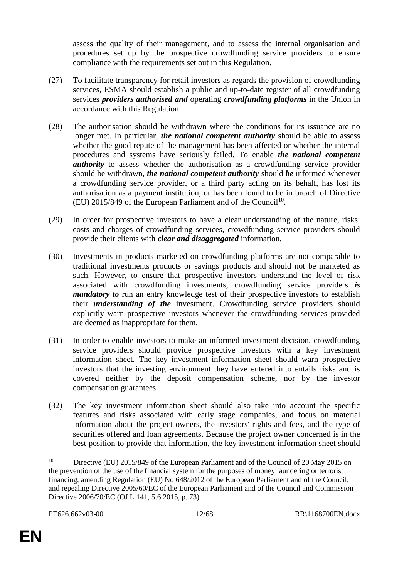assess the quality of their management, and to assess the internal organisation and procedures set up by the prospective crowdfunding service providers to ensure compliance with the requirements set out in this Regulation.

- (27) To facilitate transparency for retail investors as regards the provision of crowdfunding services, ESMA should establish a public and up-to-date register of all crowdfunding services *providers authorised and* operating *crowdfunding platforms* in the Union in accordance with this Regulation.
- (28) The authorisation should be withdrawn where the conditions for its issuance are no longer met. In particular, *the national competent authority* should be able to assess whether the good repute of the management has been affected or whether the internal procedures and systems have seriously failed. To enable *the national competent authority* to assess whether the authorisation as a crowdfunding service provider should be withdrawn, *the national competent authority* should *be* informed whenever a crowdfunding service provider, or a third party acting on its behalf, has lost its authorisation as a payment institution, or has been found to be in breach of Directive  $(EU)$  2015/849 of the European Parliament and of the Council<sup>10</sup>.
- (29) In order for prospective investors to have a clear understanding of the nature, risks, costs and charges of crowdfunding services, crowdfunding service providers should provide their clients with *clear and disaggregated* information.
- (30) Investments in products marketed on crowdfunding platforms are not comparable to traditional investments products or savings products and should not be marketed as such. However, to ensure that prospective investors understand the level of risk associated with crowdfunding investments, crowdfunding service providers *is mandatory to* run an entry knowledge test of their prospective investors to establish their *understanding of the* investment. Crowdfunding service providers should explicitly warn prospective investors whenever the crowdfunding services provided are deemed as inappropriate for them.
- (31) In order to enable investors to make an informed investment decision, crowdfunding service providers should provide prospective investors with a key investment information sheet. The key investment information sheet should warn prospective investors that the investing environment they have entered into entails risks and is covered neither by the deposit compensation scheme, nor by the investor compensation guarantees.
- (32) The key investment information sheet should also take into account the specific features and risks associated with early stage companies, and focus on material information about the project owners, the investors' rights and fees, and the type of securities offered and loan agreements. Because the project owner concerned is in the best position to provide that information, the key investment information sheet should

1

<sup>&</sup>lt;sup>10</sup> Directive (EU) 2015/849 of the European Parliament and of the Council of 20 May 2015 on the prevention of the use of the financial system for the purposes of money laundering or terrorist financing, amending Regulation (EU) No 648/2012 of the European Parliament and of the Council, and repealing Directive 2005/60/EC of the European Parliament and of the Council and Commission Directive 2006/70/EC (OJ L 141, 5.6.2015, p. 73).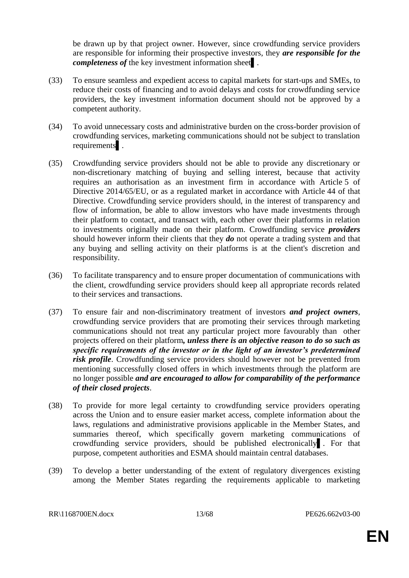be drawn up by that project owner. However, since crowdfunding service providers are responsible for informing their prospective investors, they *are responsible for the completeness of* the key investment information sheet .

- (33) To ensure seamless and expedient access to capital markets for start-ups and SMEs, to reduce their costs of financing and to avoid delays and costs for crowdfunding service providers, the key investment information document should not be approved by a competent authority.
- (34) To avoid unnecessary costs and administrative burden on the cross-border provision of crowdfunding services, marketing communications should not be subject to translation requirements▌.
- (35) Crowdfunding service providers should not be able to provide any discretionary or non-discretionary matching of buying and selling interest, because that activity requires an authorisation as an investment firm in accordance with Article 5 of Directive 2014/65/EU, or as a regulated market in accordance with Article 44 of that Directive. Crowdfunding service providers should, in the interest of transparency and flow of information, be able to allow investors who have made investments through their platform to contact, and transact with, each other over their platforms in relation to investments originally made on their platform. Crowdfunding service *providers* should however inform their clients that they *do* not operate a trading system and that any buying and selling activity on their platforms is at the client's discretion and responsibility.
- (36) To facilitate transparency and to ensure proper documentation of communications with the client, crowdfunding service providers should keep all appropriate records related to their services and transactions.
- (37) To ensure fair and non-discriminatory treatment of investors *and project owners*, crowdfunding service providers that are promoting their services through marketing communications should not treat any particular project more favourably than other projects offered on their platform*, unless there is an objective reason to do so such as specific requirements of the investor or in the light of an investor's predetermined risk profile*. Crowdfunding service providers should however not be prevented from mentioning successfully closed offers in which investments through the platform are no longer possible *and are encouraged to allow for comparability of the performance of their closed projects*.
- (38) To provide for more legal certainty to crowdfunding service providers operating across the Union and to ensure easier market access, complete information about the laws, regulations and administrative provisions applicable in the Member States, and summaries thereof, which specifically govern marketing communications of crowdfunding service providers, should be published electronically▌. For that purpose, competent authorities and ESMA should maintain central databases.
- (39) To develop a better understanding of the extent of regulatory divergences existing among the Member States regarding the requirements applicable to marketing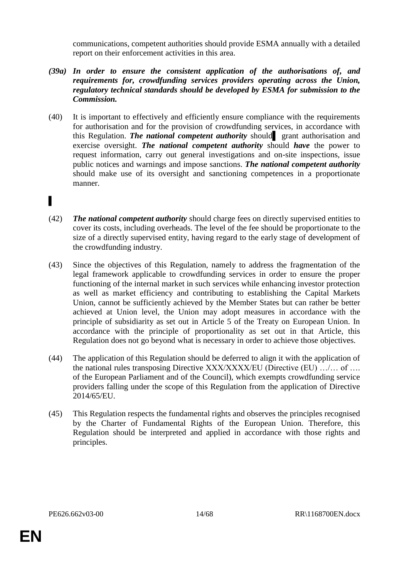communications, competent authorities should provide ESMA annually with a detailed report on their enforcement activities in this area.

- *(39a) In order to ensure the consistent application of the authorisations of, and requirements for, crowdfunding services providers operating across the Union, regulatory technical standards should be developed by ESMA for submission to the Commission.*
- (40) It is important to effectively and efficiently ensure compliance with the requirements for authorisation and for the provision of crowdfunding services, in accordance with this Regulation. *The national competent authority* should▌ grant authorisation and exercise oversight. *The national competent authority* should *have* the power to request information, carry out general investigations and on-site inspections, issue public notices and warnings and impose sanctions. *The national competent authority* should make use of its oversight and sanctioning competences in a proportionate manner.

# ▌

- (42) *The national competent authority* should charge fees on directly supervised entities to cover its costs, including overheads. The level of the fee should be proportionate to the size of a directly supervised entity, having regard to the early stage of development of the crowdfunding industry.
- (43) Since the objectives of this Regulation, namely to address the fragmentation of the legal framework applicable to crowdfunding services in order to ensure the proper functioning of the internal market in such services while enhancing investor protection as well as market efficiency and contributing to establishing the Capital Markets Union, cannot be sufficiently achieved by the Member States but can rather be better achieved at Union level, the Union may adopt measures in accordance with the principle of subsidiarity as set out in Article 5 of the Treaty on European Union. In accordance with the principle of proportionality as set out in that Article, this Regulation does not go beyond what is necessary in order to achieve those objectives.
- (44) The application of this Regulation should be deferred to align it with the application of the national rules transposing Directive XXX/XXXX/EU (Directive (EU) …/… of …. of the European Parliament and of the Council), which exempts crowdfunding service providers falling under the scope of this Regulation from the application of Directive 2014/65/EU.
- (45) This Regulation respects the fundamental rights and observes the principles recognised by the Charter of Fundamental Rights of the European Union. Therefore, this Regulation should be interpreted and applied in accordance with those rights and principles.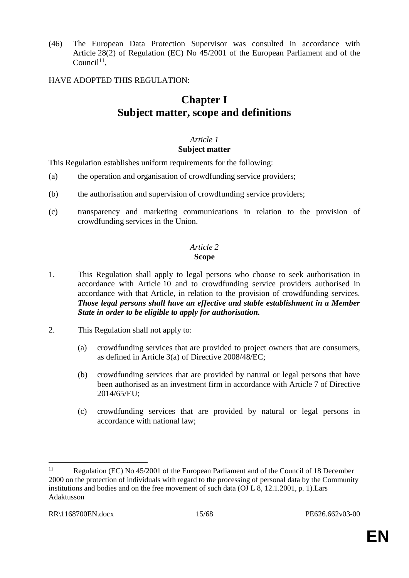(46) The European Data Protection Supervisor was consulted in accordance with Article 28(2) of Regulation (EC) No 45/2001 of the European Parliament and of the  $Counti<sup>11</sup>$ ,

HAVE ADOPTED THIS REGULATION:

## **Chapter I Subject matter, scope and definitions**

#### *Article 1* **Subject matter**

This Regulation establishes uniform requirements for the following:

- (a) the operation and organisation of crowdfunding service providers;
- (b) the authorisation and supervision of crowdfunding service providers;
- (c) transparency and marketing communications in relation to the provision of crowdfunding services in the Union.

#### *Article 2* **Scope**

- 1. This Regulation shall apply to legal persons who choose to seek authorisation in accordance with Article 10 and to crowdfunding service providers authorised in accordance with that Article, in relation to the provision of crowdfunding services. *Those legal persons shall have an effective and stable establishment in a Member State in order to be eligible to apply for authorisation.*
- 2. This Regulation shall not apply to:
	- (a) crowdfunding services that are provided to project owners that are consumers, as defined in Article 3(a) of Directive 2008/48/EC;
	- (b) crowdfunding services that are provided by natural or legal persons that have been authorised as an investment firm in accordance with Article 7 of Directive 2014/65/EU;
	- (c) crowdfunding services that are provided by natural or legal persons in accordance with national law;

1

<sup>&</sup>lt;sup>11</sup> Regulation (EC) No 45/2001 of the European Parliament and of the Council of 18 December 2000 on the protection of individuals with regard to the processing of personal data by the Community institutions and bodies and on the free movement of such data (OJ L 8, 12.1.2001, p. 1).Lars Adaktusson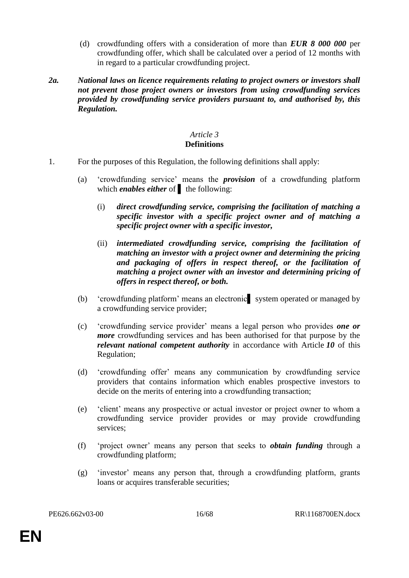(d) crowdfunding offers with a consideration of more than *EUR 8 000 000* per crowdfunding offer, which shall be calculated over a period of 12 months with in regard to a particular crowdfunding project.

#### *2a. National laws on licence requirements relating to project owners or investors shall not prevent those project owners or investors from using crowdfunding services provided by crowdfunding service providers pursuant to, and authorised by, this Regulation.*

## *Article 3*

#### **Definitions**

- 1. For the purposes of this Regulation, the following definitions shall apply:
	- (a) 'crowdfunding service' means the *provision* of a crowdfunding platform which *enables* either of the following:
		- (i) *direct crowdfunding service, comprising the facilitation of matching a specific investor with a specific project owner and of matching a specific project owner with a specific investor,*
		- (ii) *intermediated crowdfunding service, comprising the facilitation of matching an investor with a project owner and determining the pricing and packaging of offers in respect thereof, or the facilitation of matching a project owner with an investor and determining pricing of offers in respect thereof, or both.*
	- (b) 'crowdfunding platform' means an electronic▌ system operated or managed by a crowdfunding service provider;
	- (c) 'crowdfunding service provider' means a legal person who provides *one or more* crowdfunding services and has been authorised for that purpose by the *relevant national competent authority* in accordance with Article *10* of this Regulation;
	- (d) 'crowdfunding offer' means any communication by crowdfunding service providers that contains information which enables prospective investors to decide on the merits of entering into a crowdfunding transaction;
	- (e) 'client' means any prospective or actual investor or project owner to whom a crowdfunding service provider provides or may provide crowdfunding services;
	- (f) 'project owner' means any person that seeks to *obtain funding* through a crowdfunding platform;
	- (g) 'investor' means any person that, through a crowdfunding platform, grants loans or acquires transferable securities;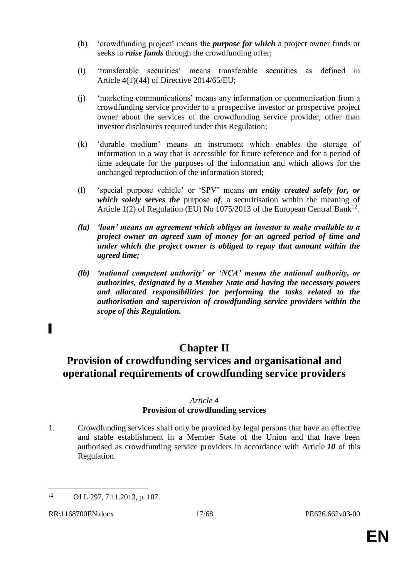- (h) 'crowdfunding project' means the *purpose for which* a project owner funds or seeks to *raise funds* through the crowdfunding offer;
- (i) 'transferable securities' means transferable securities as defined in Article 4(1)(44) of Directive 2014/65/EU;
- (j) 'marketing communications' means any information or communication from a crowdfunding service provider to a prospective investor or prospective project owner about the services of the crowdfunding service provider, other than investor disclosures required under this Regulation;
- (k) 'durable medium' means an instrument which enables the storage of information in a way that is accessible for future reference and for a period of time adequate for the purposes of the information and which allows for the unchanged reproduction of the information stored;
- (l) 'special purpose vehicle' or 'SPV' means *an entity created solely for, or which solely serves the* purpose *of*, a securitisation within the meaning of Article  $1(2)$  of Regulation (EU) No 1075/2013 of the European Central Bank<sup>12</sup>.
- *(la) 'loan' means an agreement which obliges an investor to make available to a project owner an agreed sum of money for an agreed period of time and under which the project owner is obliged to repay that amount within the agreed time;*
- *(lb) 'national competent authority' or 'NCA' means the national authority, or authorities, designated by a Member State and having the necessary powers and allocated responsibilities for performing the tasks related to the authorisation and supervision of crowdfunding service providers within the scope of this Regulation.*

## **Chapter II**

## **Provision of crowdfunding services and organisational and operational requirements of crowdfunding service providers**

#### *Article 4*

#### **Provision of crowdfunding services**

1. Crowdfunding services shall only be provided by legal persons that have an effective and stable establishment in a Member State of the Union and that have been authorised as crowdfunding service providers in accordance with Article *10* of this Regulation.

▌

1

<sup>12</sup> OJ L 297, 7.11.2013, p. 107.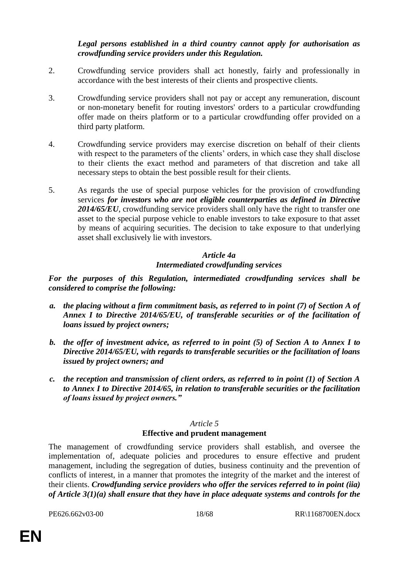#### *Legal persons established in a third country cannot apply for authorisation as crowdfunding service providers under this Regulation.*

- 2. Crowdfunding service providers shall act honestly, fairly and professionally in accordance with the best interests of their clients and prospective clients.
- 3. Crowdfunding service providers shall not pay or accept any remuneration, discount or non-monetary benefit for routing investors' orders to a particular crowdfunding offer made on theirs platform or to a particular crowdfunding offer provided on a third party platform.
- 4. Crowdfunding service providers may exercise discretion on behalf of their clients with respect to the parameters of the clients' orders, in which case they shall disclose to their clients the exact method and parameters of that discretion and take all necessary steps to obtain the best possible result for their clients.
- 5. As regards the use of special purpose vehicles for the provision of crowdfunding services *for investors who are not eligible counterparties as defined in Directive 2014/65/EU*, crowdfunding service providers shall only have the right to transfer one asset to the special purpose vehicle to enable investors to take exposure to that asset by means of acquiring securities. The decision to take exposure to that underlying asset shall exclusively lie with investors.

#### *Article 4a Intermediated crowdfunding services*

*For the purposes of this Regulation, intermediated crowdfunding services shall be considered to comprise the following:*

- *a. the placing without a firm commitment basis, as referred to in point (7) of Section A of Annex I to Directive 2014/65/EU, of transferable securities or of the facilitation of loans issued by project owners;*
- *b. the offer of investment advice, as referred to in point (5) of Section A to Annex I to Directive 2014/65/EU, with regards to transferable securities or the facilitation of loans issued by project owners; and*
- *c. the reception and transmission of client orders, as referred to in point (1) of Section A to Annex I to Directive 2014/65, in relation to transferable securities or the facilitation of loans issued by project owners."*

#### *Article 5*

#### **Effective and prudent management**

The management of crowdfunding service providers shall establish, and oversee the implementation of, adequate policies and procedures to ensure effective and prudent management, including the segregation of duties, business continuity and the prevention of conflicts of interest, in a manner that promotes the integrity of the market and the interest of their clients. *Crowdfunding service providers who offer the services referred to in point (iia) of Article 3(1)(a) shall ensure that they have in place adequate systems and controls for the*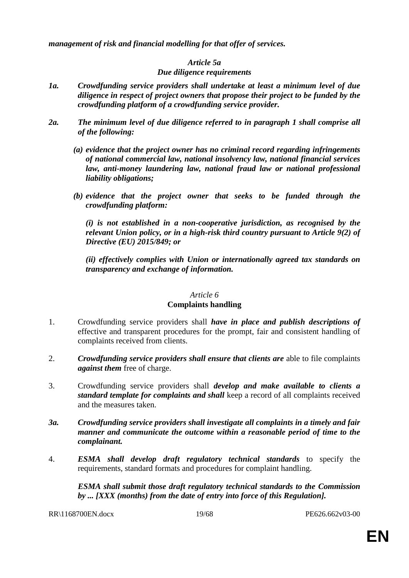*management of risk and financial modelling for that offer of services.*

#### *Article 5a*

#### *Due diligence requirements*

- *1a. Crowdfunding service providers shall undertake at least a minimum level of due diligence in respect of project owners that propose their project to be funded by the crowdfunding platform of a crowdfunding service provider.*
- *2a. The minimum level of due diligence referred to in paragraph 1 shall comprise all of the following:*
	- *(a) evidence that the project owner has no criminal record regarding infringements of national commercial law, national insolvency law, national financial services law, anti-money laundering law, national fraud law or national professional liability obligations;*
	- *(b) evidence that the project owner that seeks to be funded through the crowdfunding platform:*

*(i) is not established in a non-cooperative jurisdiction, as recognised by the relevant Union policy, or in a high-risk third country pursuant to Article 9(2) of Directive (EU) 2015/849; or*

*(ii) effectively complies with Union or internationally agreed tax standards on transparency and exchange of information.*

#### *Article 6*

#### **Complaints handling**

- 1. Crowdfunding service providers shall *have in place and publish descriptions of* effective and transparent procedures for the prompt, fair and consistent handling of complaints received from clients.
- 2. *Crowdfunding service providers shall ensure that clients are* able to file complaints *against them* free of charge.
- 3. Crowdfunding service providers shall *develop and make available to clients a standard template for complaints and shall* keep a record of all complaints received and the measures taken.
- *3a. Crowdfunding service providers shall investigate all complaints in a timely and fair manner and communicate the outcome within a reasonable period of time to the complainant.*
- 4. *ESMA shall develop draft regulatory technical standards* to specify the requirements, standard formats and procedures for complaint handling.

*ESMA shall submit those draft regulatory technical standards to the Commission by ... [XXX (months) from the date of entry into force of this Regulation].*

RR\1168700EN.docx 19/68 PE626.662v03-00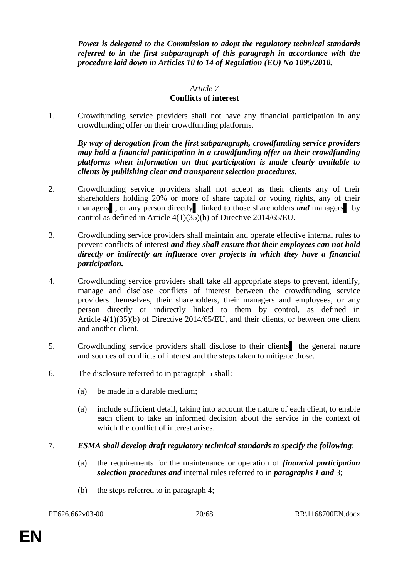*Power is delegated to the Commission to adopt the regulatory technical standards referred to in the first subparagraph of this paragraph in accordance with the procedure laid down in Articles 10 to 14 of Regulation (EU) No 1095/2010.*

#### *Article 7*

#### **Conflicts of interest**

1. Crowdfunding service providers shall not have any financial participation in any crowdfunding offer on their crowdfunding platforms.

*By way of derogation from the first subparagraph, crowdfunding service providers may hold a financial participation in a crowdfunding offer on their crowdfunding platforms when information on that participation is made clearly available to clients by publishing clear and transparent selection procedures.*

- 2. Crowdfunding service providers shall not accept as their clients any of their shareholders holding 20% or more of share capital or voting rights, any of their managers , or any person directly linked to those shareholders *and* managers by control as defined in Article 4(1)(35)(b) of Directive 2014/65/EU.
- 3. Crowdfunding service providers shall maintain and operate effective internal rules to prevent conflicts of interest *and they shall ensure that their employees can not hold directly or indirectly an influence over projects in which they have a financial participation.*
- 4. Crowdfunding service providers shall take all appropriate steps to prevent, identify, manage and disclose conflicts of interest between the crowdfunding service providers themselves, their shareholders, their managers and employees, or any person directly or indirectly linked to them by control, as defined in Article 4(1)(35)(b) of Directive 2014/65/EU, and their clients, or between one client and another client.
- 5. Crowdfunding service providers shall disclose to their clients▌ the general nature and sources of conflicts of interest and the steps taken to mitigate those.
- 6. The disclosure referred to in paragraph 5 shall:
	- (a) be made in a durable medium;
	- (a) include sufficient detail, taking into account the nature of each client, to enable each client to take an informed decision about the service in the context of which the conflict of interest arises.

#### 7. *ESMA shall develop draft regulatory technical standards to specify the following*:

- (a) the requirements for the maintenance or operation of *financial participation selection procedures and* internal rules referred to in *paragraphs 1 and* 3;
- (b) the steps referred to in paragraph 4;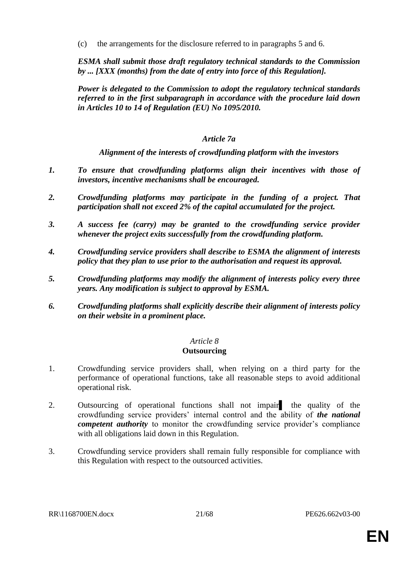(c) the arrangements for the disclosure referred to in paragraphs 5 and 6.

*ESMA shall submit those draft regulatory technical standards to the Commission by ... [XXX (months) from the date of entry into force of this Regulation].*

*Power is delegated to the Commission to adopt the regulatory technical standards referred to in the first subparagraph in accordance with the procedure laid down in Articles 10 to 14 of Regulation (EU) No 1095/2010.*

#### *Article 7a*

#### *Alignment of the interests of crowdfunding platform with the investors*

- *1. To ensure that crowdfunding platforms align their incentives with those of investors, incentive mechanisms shall be encouraged.*
- *2. Crowdfunding platforms may participate in the funding of a project. That participation shall not exceed 2% of the capital accumulated for the project.*
- *3. A success fee (carry) may be granted to the crowdfunding service provider whenever the project exits successfully from the crowdfunding platform.*
- *4. Crowdfunding service providers shall describe to ESMA the alignment of interests policy that they plan to use prior to the authorisation and request its approval.*
- *5. Crowdfunding platforms may modify the alignment of interests policy every three years. Any modification is subject to approval by ESMA.*
- *6. Crowdfunding platforms shall explicitly describe their alignment of interests policy on their website in a prominent place.*

#### *Article 8*

#### **Outsourcing**

- 1. Crowdfunding service providers shall, when relying on a third party for the performance of operational functions, take all reasonable steps to avoid additional operational risk.
- 2. Outsourcing of operational functions shall not impair the quality of the crowdfunding service providers' internal control and the ability of *the national competent authority* to monitor the crowdfunding service provider's compliance with all obligations laid down in this Regulation.
- 3. Crowdfunding service providers shall remain fully responsible for compliance with this Regulation with respect to the outsourced activities.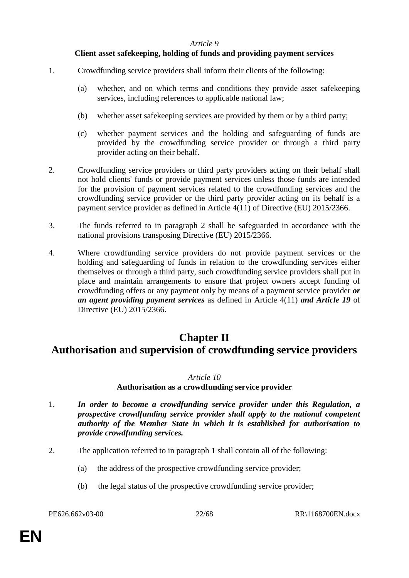#### *Article 9*

#### **Client asset safekeeping, holding of funds and providing payment services**

- 1. Crowdfunding service providers shall inform their clients of the following:
	- (a) whether, and on which terms and conditions they provide asset safekeeping services, including references to applicable national law;
	- (b) whether asset safekeeping services are provided by them or by a third party;
	- (c) whether payment services and the holding and safeguarding of funds are provided by the crowdfunding service provider or through a third party provider acting on their behalf.
- 2. Crowdfunding service providers or third party providers acting on their behalf shall not hold clients' funds or provide payment services unless those funds are intended for the provision of payment services related to the crowdfunding services and the crowdfunding service provider or the third party provider acting on its behalf is a payment service provider as defined in Article 4(11) of Directive (EU) 2015/2366.
- 3. The funds referred to in paragraph 2 shall be safeguarded in accordance with the national provisions transposing Directive (EU) 2015/2366.
- 4. Where crowdfunding service providers do not provide payment services or the holding and safeguarding of funds in relation to the crowdfunding services either themselves or through a third party, such crowdfunding service providers shall put in place and maintain arrangements to ensure that project owners accept funding of crowdfunding offers or any payment only by means of a payment service provider *or an agent providing payment services* as defined in Article 4(11) *and Article 19* of Directive (EU) 2015/2366.

## **Chapter II**

## **Authorisation and supervision of crowdfunding service providers**

#### *Article 10*

#### **Authorisation as a crowdfunding service provider**

- 1. *In order to become a crowdfunding service provider under this Regulation, a prospective crowdfunding service provider shall apply to the national competent authority of the Member State in which it is established for authorisation to provide crowdfunding services.*
- 2. The application referred to in paragraph 1 shall contain all of the following:
	- (a) the address of the prospective crowdfunding service provider;
	- (b) the legal status of the prospective crowdfunding service provider;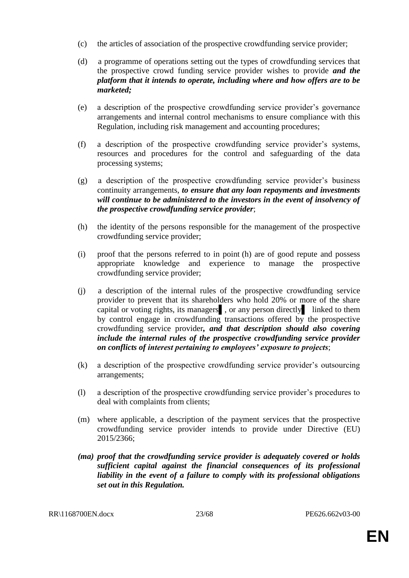- (c) the articles of association of the prospective crowdfunding service provider;
- (d) a programme of operations setting out the types of crowdfunding services that the prospective crowd funding service provider wishes to provide *and the platform that it intends to operate, including where and how offers are to be marketed;*
- (e) a description of the prospective crowdfunding service provider's governance arrangements and internal control mechanisms to ensure compliance with this Regulation, including risk management and accounting procedures;
- (f) a description of the prospective crowdfunding service provider's systems, resources and procedures for the control and safeguarding of the data processing systems;
- (g) a description of the prospective crowdfunding service provider's business continuity arrangements, *to ensure that any loan repayments and investments will continue to be administered to the investors in the event of insolvency of the prospective crowdfunding service provider*;
- (h) the identity of the persons responsible for the management of the prospective crowdfunding service provider;
- (i) proof that the persons referred to in point (h) are of good repute and possess appropriate knowledge and experience to manage the prospective crowdfunding service provider;
- (j) a description of the internal rules of the prospective crowdfunding service provider to prevent that its shareholders who hold 20% or more of the share capital or voting rights, its managers , or any person directly linked to them by control engage in crowdfunding transactions offered by the prospective crowdfunding service provider*, and that description should also covering include the internal rules of the prospective crowdfunding service provider on conflicts of interest pertaining to employees' exposure to projects*;
- (k) a description of the prospective crowdfunding service provider's outsourcing arrangements;
- (l) a description of the prospective crowdfunding service provider's procedures to deal with complaints from clients;
- (m) where applicable, a description of the payment services that the prospective crowdfunding service provider intends to provide under Directive (EU) 2015/2366;
- *(ma) proof that the crowdfunding service provider is adequately covered or holds sufficient capital against the financial consequences of its professional liability in the event of a failure to comply with its professional obligations set out in this Regulation.*

RR\1168700EN.docx 23/68 PE626.662v03-00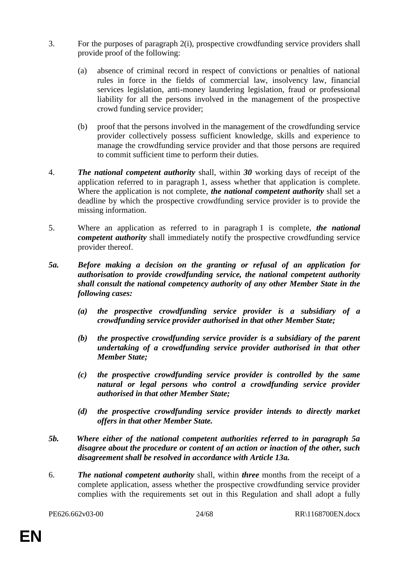- 3. For the purposes of paragraph 2(i), prospective crowdfunding service providers shall provide proof of the following:
	- (a) absence of criminal record in respect of convictions or penalties of national rules in force in the fields of commercial law, insolvency law, financial services legislation, anti-money laundering legislation, fraud or professional liability for all the persons involved in the management of the prospective crowd funding service provider;
	- (b) proof that the persons involved in the management of the crowdfunding service provider collectively possess sufficient knowledge, skills and experience to manage the crowdfunding service provider and that those persons are required to commit sufficient time to perform their duties.
- 4. *The national competent authority* shall, within *30* working days of receipt of the application referred to in paragraph 1, assess whether that application is complete. Where the application is not complete, *the national competent authority* shall set a deadline by which the prospective crowdfunding service provider is to provide the missing information.
- 5. Where an application as referred to in paragraph 1 is complete, *the national competent authority* shall immediately notify the prospective crowdfunding service provider thereof.
- *5a. Before making a decision on the granting or refusal of an application for authorisation to provide crowdfunding service, the national competent authority shall consult the national competency authority of any other Member State in the following cases:*
	- *(a) the prospective crowdfunding service provider is a subsidiary of a crowdfunding service provider authorised in that other Member State;*
	- *(b) the prospective crowdfunding service provider is a subsidiary of the parent undertaking of a crowdfunding service provider authorised in that other Member State;*
	- *(c) the prospective crowdfunding service provider is controlled by the same natural or legal persons who control a crowdfunding service provider authorised in that other Member State;*
	- *(d) the prospective crowdfunding service provider intends to directly market offers in that other Member State.*
- *5b. Where either of the national competent authorities referred to in paragraph 5a disagree about the procedure or content of an action or inaction of the other, such disagreement shall be resolved in accordance with Article 13a.*
- 6. *The national competent authority* shall, within *three* months from the receipt of a complete application, assess whether the prospective crowdfunding service provider complies with the requirements set out in this Regulation and shall adopt a fully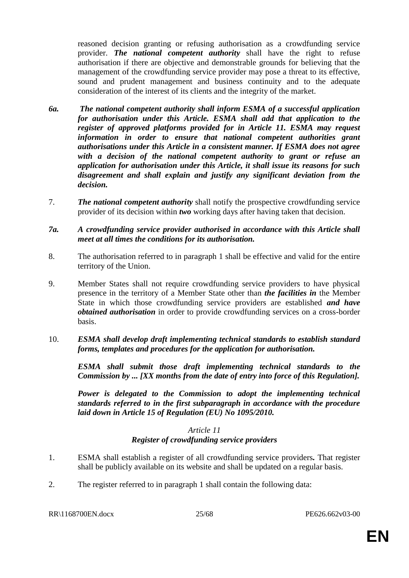reasoned decision granting or refusing authorisation as a crowdfunding service provider. *The national competent authority* shall have the right to refuse authorisation if there are objective and demonstrable grounds for believing that the management of the crowdfunding service provider may pose a threat to its effective, sound and prudent management and business continuity and to the adequate consideration of the interest of its clients and the integrity of the market.

- *6a. The national competent authority shall inform ESMA of a successful application for authorisation under this Article. ESMA shall add that application to the register of approved platforms provided for in Article 11. ESMA may request information in order to ensure that national competent authorities grant authorisations under this Article in a consistent manner. If ESMA does not agree with a decision of the national competent authority to grant or refuse an application for authorisation under this Article, it shall issue its reasons for such disagreement and shall explain and justify any significant deviation from the decision.*
- 7. *The national competent authority* shall notify the prospective crowdfunding service provider of its decision within *two* working days after having taken that decision.
- *7a. A crowdfunding service provider authorised in accordance with this Article shall meet at all times the conditions for its authorisation.*
- 8. The authorisation referred to in paragraph 1 shall be effective and valid for the entire territory of the Union.
- 9. Member States shall not require crowdfunding service providers to have physical presence in the territory of a Member State other than *the facilities in* the Member State in which those crowdfunding service providers are established *and have obtained authorisation* in order to provide crowdfunding services on a cross-border basis.
- 10. *ESMA shall develop draft implementing technical standards to establish standard forms, templates and procedures for the application for authorisation.*

*ESMA shall submit those draft implementing technical standards to the Commission by ... [XX months from the date of entry into force of this Regulation].*

*Power is delegated to the Commission to adopt the implementing technical standards referred to in the first subparagraph in accordance with the procedure laid down in Article 15 of Regulation (EU) No 1095/2010.*

#### *Article 11 Register of crowdfunding service providers*

- 1. ESMA shall establish a register of all crowdfunding service providers*.* That register shall be publicly available on its website and shall be updated on a regular basis.
- 2. The register referred to in paragraph 1 shall contain the following data:

RR\1168700EN.docx 25/68 PE626.662v03-00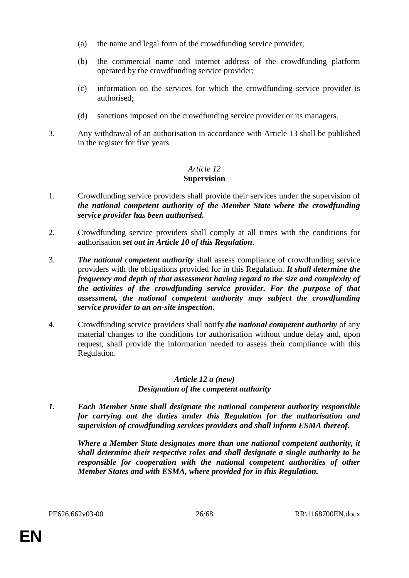- (a) the name and legal form of the crowdfunding service provider;
- (b) the commercial name and internet address of the crowdfunding platform operated by the crowdfunding service provider;
- (c) information on the services for which the crowdfunding service provider is authorised;
- (d) sanctions imposed on the crowdfunding service provider or its managers.
- 3. Any withdrawal of an authorisation in accordance with Article 13 shall be published in the register for five years.

## *Article 12*

#### **Supervision**

- 1. Crowdfunding service providers shall provide their services under the supervision of *the national competent authority of the Member State where the crowdfunding service provider has been authorised.*
- 2. Crowdfunding service providers shall comply at all times with the conditions for authorisation *set out in Article 10 of this Regulation*.
- 3. *The national competent authority* shall assess compliance of crowdfunding service providers with the obligations provided for in this Regulation. *It shall determine the frequency and depth of that assessment having regard to the size and complexity of the activities of the crowdfunding service provider. For the purpose of that assessment, the national competent authority may subject the crowdfunding service provider to an on-site inspection.*
- 4. Crowdfunding service providers shall notify *the national competent authority* of any material changes to the conditions for authorisation without undue delay and, upon request, shall provide the information needed to assess their compliance with this Regulation.

#### *Article 12 a (new) Designation of the competent authority*

*1. Each Member State shall designate the national competent authority responsible for carrying out the duties under this Regulation for the authorisation and supervision of crowdfunding services providers and shall inform ESMA thereof.* 

*Where a Member State designates more than one national competent authority, it shall determine their respective roles and shall designate a single authority to be responsible for cooperation with the national competent authorities of other Member States and with ESMA, where provided for in this Regulation.*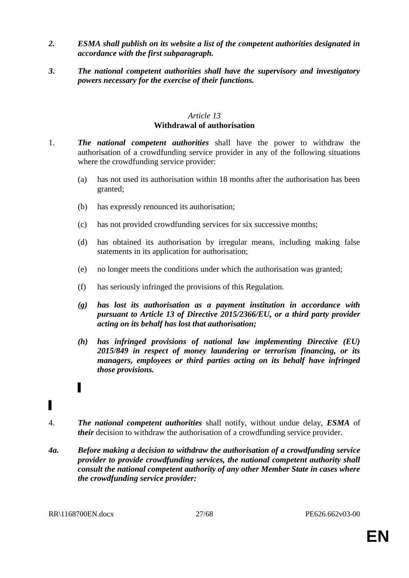- *2. ESMA shall publish on its website a list of the competent authorities designated in accordance with the first subparagraph.*
- *3. The national competent authorities shall have the supervisory and investigatory powers necessary for the exercise of their functions.*

#### *Article 13* **Withdrawal of authorisation**

- 1. *The national competent authorities* shall have the power to withdraw the authorisation of a crowdfunding service provider in any of the following situations where the crowdfunding service provider:
	- (a) has not used its authorisation within 18 months after the authorisation has been granted;
	- (b) has expressly renounced its authorisation;
	- (c) has not provided crowdfunding services for six successive months;
	- (d) has obtained its authorisation by irregular means, including making false statements in its application for authorisation;
	- (e) no longer meets the conditions under which the authorisation was granted;
	- (f) has seriously infringed the provisions of this Regulation.
	- *(g) has lost its authorisation as a payment institution in accordance with pursuant to Article 13 of Directive 2015/2366/EU, or a third party provider acting on its behalf has lost that authorisation;*
	- *(h) has infringed provisions of national law implementing Directive (EU) 2015/849 in respect of money laundering or terrorism financing, or its managers, employees or third parties acting on its behalf have infringed those provisions.*

# ▌

▌

- 4. *The national competent authorities* shall notify, without undue delay, *ESMA* of *their* decision to withdraw the authorisation of a crowdfunding service provider.
- *4a. Before making a decision to withdraw the authorisation of a crowdfunding service provider to provide crowdfunding services, the national competent authority shall consult the national competent authority of any other Member State in cases where the crowdfunding service provider:*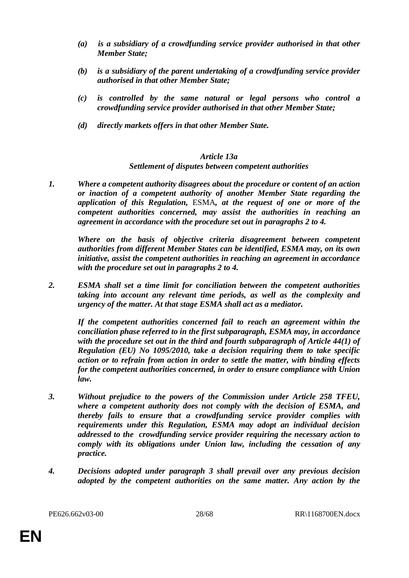- *(a) is a subsidiary of a crowdfunding service provider authorised in that other Member State;*
- *(b) is a subsidiary of the parent undertaking of a crowdfunding service provider authorised in that other Member State;*
- *(c) is controlled by the same natural or legal persons who control a crowdfunding service provider authorised in that other Member State;*
- *(d) directly markets offers in that other Member State.*

#### *Article 13a Settlement of disputes between competent authorities*

*1. Where a competent authority disagrees about the procedure or content of an action or inaction of a competent authority of another Member State regarding the application of this Regulation,* ESMA*, at the request of one or more of the competent authorities concerned, may assist the authorities in reaching an agreement in accordance with the procedure set out in paragraphs 2 to 4.*

*Where on the basis of objective criteria disagreement between competent authorities from different Member States can be identified, ESMA may, on its own initiative, assist the competent authorities in reaching an agreement in accordance with the procedure set out in paragraphs 2 to 4.*

*2. ESMA shall set a time limit for conciliation between the competent authorities taking into account any relevant time periods, as well as the complexity and urgency of the matter. At that stage ESMA shall act as a mediator.*

*If the competent authorities concerned fail to reach an agreement within the conciliation phase referred to in the first subparagraph, ESMA may, in accordance with the procedure set out in the third and fourth subparagraph of Article 44(1) of Regulation (EU) No 1095/2010, take a decision requiring them to take specific action or to refrain from action in order to settle the matter, with binding effects for the competent authorities concerned, in order to ensure compliance with Union law.*

- *3. Without prejudice to the powers of the Commission under Article 258 TFEU, where a competent authority does not comply with the decision of ESMA, and thereby fails to ensure that a crowdfunding service provider complies with requirements under this Regulation, ESMA may adopt an individual decision addressed to the crowdfunding service provider requiring the necessary action to comply with its obligations under Union law, including the cessation of any practice.*
- *4. Decisions adopted under paragraph 3 shall prevail over any previous decision adopted by the competent authorities on the same matter. Any action by the*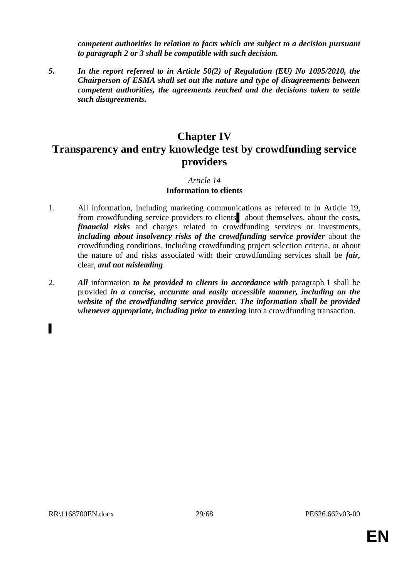*competent authorities in relation to facts which are subject to a decision pursuant to paragraph 2 or 3 shall be compatible with such decision.*

*5. In the report referred to in Article 50(2) of Regulation (EU) No 1095/2010, the Chairperson of ESMA shall set out the nature and type of disagreements between competent authorities, the agreements reached and the decisions taken to settle such disagreements.*

## **Chapter IV Transparency and entry knowledge test by crowdfunding service providers**

#### *Article 14*

#### **Information to clients**

- 1. All information, including marketing communications as referred to in Article 19, from crowdfunding service providers to clients about themselves, about the costs, *financial risks* and charges related to crowdfunding services or investments, *including about insolvency risks of the crowdfunding service provider* about the crowdfunding conditions, including crowdfunding project selection criteria, or about the nature of and risks associated with their crowdfunding services shall be *fair,*  clear, *and not misleading*.
- 2. *All* information *to be provided to clients in accordance with* paragraph 1 shall be provided *in a concise, accurate and easily accessible manner, including on the website of the crowdfunding service provider. The information shall be provided whenever appropriate, including prior to entering* into a crowdfunding transaction.

▌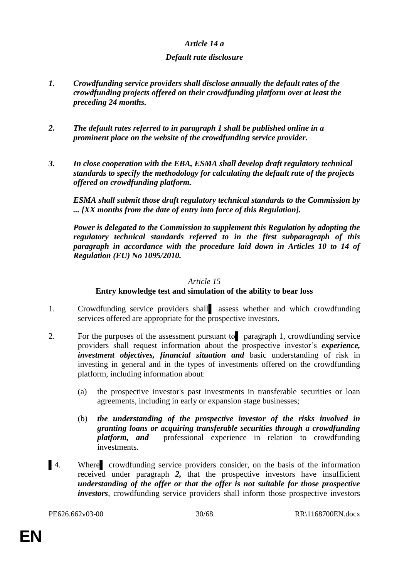#### *Article 14 a*

#### *Default rate disclosure*

- *1. Crowdfunding service providers shall disclose annually the default rates of the crowdfunding projects offered on their crowdfunding platform over at least the preceding 24 months.*
- *2. The default rates referred to in paragraph 1 shall be published online in a prominent place on the website of the crowdfunding service provider.*
- *3. In close cooperation with the EBA, ESMA shall develop draft regulatory technical standards to specify the methodology for calculating the default rate of the projects offered on crowdfunding platform.*

*ESMA shall submit those draft regulatory technical standards to the Commission by ... [XX months from the date of entry into force of this Regulation].*

*Power is delegated to the Commission to supplement this Regulation by adopting the regulatory technical standards referred to in the first subparagraph of this paragraph in accordance with the procedure laid down in Articles 10 to 14 of Regulation (EU) No 1095/2010.*

#### *Article 15*

#### **Entry knowledge test and simulation of the ability to bear loss**

- 1. Crowdfunding service providers shall assess whether and which crowdfunding services offered are appropriate for the prospective investors.
- 2. For the purposes of the assessment pursuant to paragraph 1, crowdfunding service providers shall request information about the prospective investor's *experience, investment objectives, financial situation and* basic understanding of risk in investing in general and in the types of investments offered on the crowdfunding platform, including information about:
	- (a) the prospective investor's past investments in transferable securities or loan agreements, including in early or expansion stage businesses;
	- (b) *the understanding of the prospective investor of the risks involved in granting loans or acquiring transferable securities through a crowdfunding platform, and* professional experience in relation to crowdfunding investments.
- ▌4. Where▌ crowdfunding service providers consider, on the basis of the information received under paragraph *2,* that the prospective investors have insufficient *understanding of the offer or that the offer is not suitable for those prospective investors*, crowdfunding service providers shall inform those prospective investors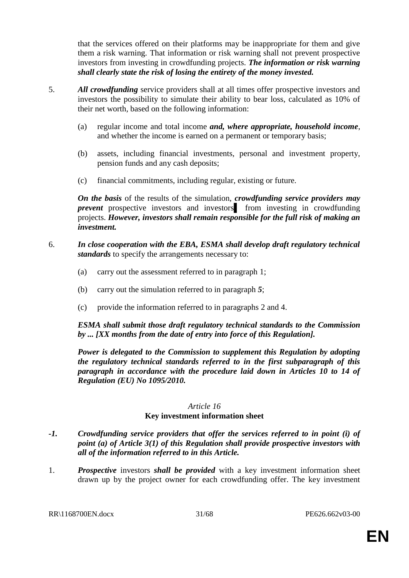that the services offered on their platforms may be inappropriate for them and give them a risk warning. That information or risk warning shall not prevent prospective investors from investing in crowdfunding projects. *The information or risk warning shall clearly state the risk of losing the entirety of the money invested.*

- 5. *All crowdfunding* service providers shall at all times offer prospective investors and investors the possibility to simulate their ability to bear loss, calculated as 10% of their net worth, based on the following information:
	- (a) regular income and total income *and, where appropriate, household income*, and whether the income is earned on a permanent or temporary basis;
	- (b) assets, including financial investments, personal and investment property, pension funds and any cash deposits;
	- (c) financial commitments, including regular, existing or future.

*On the basis* of the results of the simulation, *crowdfunding service providers may prevent* prospective investors and investors from investing in crowdfunding projects. *However, investors shall remain responsible for the full risk of making an investment.*

- 6. *In close cooperation with the EBA, ESMA shall develop draft regulatory technical standards* to specify the arrangements necessary to:
	- (a) carry out the assessment referred to in paragraph 1;
	- (b) carry out the simulation referred to in paragraph *5*;
	- (c) provide the information referred to in paragraphs 2 and 4.

*ESMA shall submit those draft regulatory technical standards to the Commission by ... [XX months from the date of entry into force of this Regulation].* 

*Power is delegated to the Commission to supplement this Regulation by adopting the regulatory technical standards referred to in the first subparagraph of this paragraph in accordance with the procedure laid down in Articles 10 to 14 of Regulation (EU) No 1095/2010.*

#### *Article 16*

#### **Key investment information sheet**

- *-1. Crowdfunding service providers that offer the services referred to in point (i) of point (a) of Article 3(1) of this Regulation shall provide prospective investors with all of the information referred to in this Article.*
- 1. *Prospective* investors *shall be provided* with a key investment information sheet drawn up by the project owner for each crowdfunding offer. The key investment

RR\1168700EN.docx 31/68 PE626.662v03-00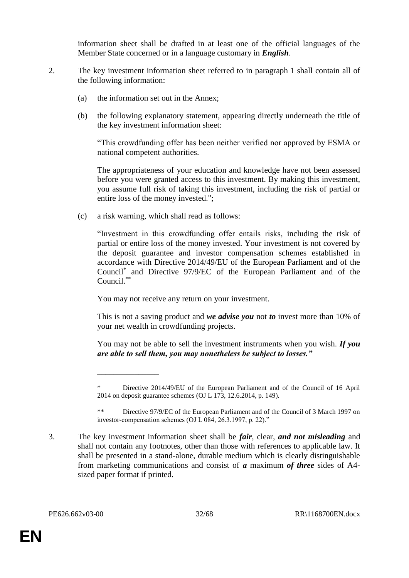information sheet shall be drafted in at least one of the official languages of the Member State concerned or in a language customary in *English*.

- 2. The key investment information sheet referred to in paragraph 1 shall contain all of the following information:
	- (a) the information set out in the Annex;
	- (b) the following explanatory statement, appearing directly underneath the title of the key investment information sheet:

"This crowdfunding offer has been neither verified nor approved by ESMA or national competent authorities.

The appropriateness of your education and knowledge have not been assessed before you were granted access to this investment. By making this investment, you assume full risk of taking this investment, including the risk of partial or entire loss of the money invested.";

(c) a risk warning, which shall read as follows:

\_\_\_\_\_\_\_\_\_\_\_\_\_\_\_

"Investment in this crowdfunding offer entails risks, including the risk of partial or entire loss of the money invested. Your investment is not covered by the deposit guarantee and investor compensation schemes established in accordance with Directive 2014/49/EU of the European Parliament and of the Council \* and Directive 97/9/EC of the European Parliament and of the Council.\*\*

You may not receive any return on your investment.

This is not a saving product and *we advise you* not *to* invest more than 10% of your net wealth in crowdfunding projects.

You may not be able to sell the investment instruments when you wish. *If you are able to sell them, you may nonetheless be subject to losses."*

Directive 2014/49/EU of the European Parliament and of the Council of 16 April 2014 on deposit guarantee schemes (OJ L 173, 12.6.2014, p. 149).

<sup>\*\*</sup> Directive 97/9/EC of the European Parliament and of the Council of 3 March 1997 on investor-compensation schemes (OJ L 084, 26.3.1997, p. 22)."

<sup>3.</sup> The key investment information sheet shall be *fair*, clear, *and not misleading* and shall not contain any footnotes, other than those with references to applicable law. It shall be presented in a stand-alone, durable medium which is clearly distinguishable from marketing communications and consist of *a* maximum *of three* sides of A4 sized paper format if printed.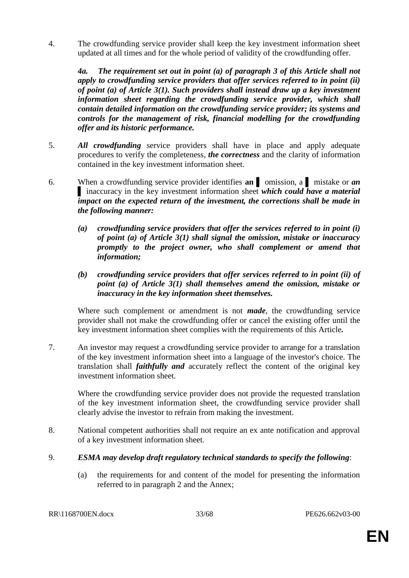4. The crowdfunding service provider shall keep the key investment information sheet updated at all times and for the whole period of validity of the crowdfunding offer.

*4a. The requirement set out in point (a) of paragraph 3 of this Article shall not apply to crowdfunding service providers that offer services referred to in point (ii) of point (a) of Article 3(1). Such providers shall instead draw up a key investment information sheet regarding the crowdfunding service provider, which shall contain detailed information on the crowdfunding service provider; its systems and controls for the management of risk, financial modelling for the crowdfunding offer and its historic performance.*

- 5. *All crowdfunding* service providers shall have in place and apply adequate procedures to verify the completeness, *the correctness* and the clarity of information contained in the key investment information sheet.
- 6. When a crowdfunding service provider identifies **an omission**, a **numisally mistake or** *an* ▌ inaccuracy in the key investment information sheet *which could have a material impact on the expected return of the investment, the corrections shall be made in the following manner:*
	- *(a) crowdfunding service providers that offer the services referred to in point (i) of point (a) of Article 3(1) shall signal the omission, mistake or inaccuracy promptly to the project owner, who shall complement or amend that information;*
	- *(b) crowdfunding service providers that offer services referred to in point (ii) of point (a) of Article 3(1) shall themselves amend the omission, mistake or inaccuracy in the key information sheet themselves.*

Where such complement or amendment is not *made*, the crowdfunding service provider shall not make the crowdfunding offer or cancel the existing offer until the key investment information sheet complies with the requirements of this Article*.*

7. An investor may request a crowdfunding service provider to arrange for a translation of the key investment information sheet into a language of the investor's choice. The translation shall *faithfully and* accurately reflect the content of the original key investment information sheet.

Where the crowdfunding service provider does not provide the requested translation of the key investment information sheet, the crowdfunding service provider shall clearly advise the investor to refrain from making the investment.

- 8. National competent authorities shall not require an ex ante notification and approval of a key investment information sheet.
- 9. *ESMA may develop draft regulatory technical standards to specify the following*:
	- (a) the requirements for and content of the model for presenting the information referred to in paragraph 2 and the Annex;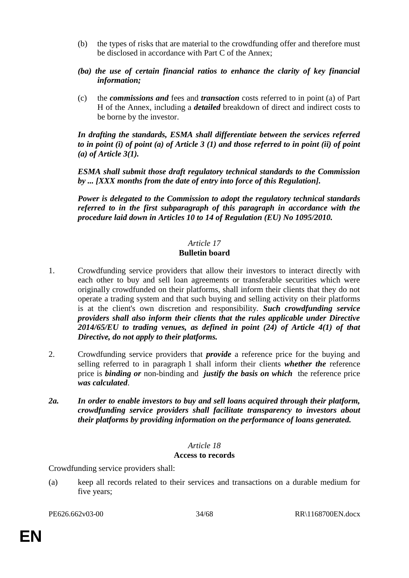- (b) the types of risks that are material to the crowdfunding offer and therefore must be disclosed in accordance with Part C of the Annex;
- *(ba) the use of certain financial ratios to enhance the clarity of key financial information;*
- (c) the *commissions and* fees and *transaction* costs referred to in point (a) of Part H of the Annex, including a *detailed* breakdown of direct and indirect costs to be borne by the investor.

*In drafting the standards, ESMA shall differentiate between the services referred to in point (i) of point (a) of Article 3 (1) and those referred to in point (ii) of point (a) of Article 3(1).*

*ESMA shall submit those draft regulatory technical standards to the Commission by ... [XXX months from the date of entry into force of this Regulation].*

*Power is delegated to the Commission to adopt the regulatory technical standards referred to in the first subparagraph of this paragraph in accordance with the procedure laid down in Articles 10 to 14 of Regulation (EU) No 1095/2010.*

#### *Article 17* **Bulletin board**

- 1. Crowdfunding service providers that allow their investors to interact directly with each other to buy and sell loan agreements or transferable securities which were originally crowdfunded on their platforms, shall inform their clients that they do not operate a trading system and that such buying and selling activity on their platforms is at the client's own discretion and responsibility. *Such crowdfunding service providers shall also inform their clients that the rules applicable under Directive 2014/65/EU to trading venues, as defined in point (24) of Article 4(1) of that Directive, do not apply to their platforms.*
- 2. Crowdfunding service providers that *provide* a reference price for the buying and selling referred to in paragraph 1 shall inform their clients *whether the* reference price is *binding or* non-binding and *justify the basis on which* the reference price *was calculated*.
- *2a. In order to enable investors to buy and sell loans acquired through their platform, crowdfunding service providers shall facilitate transparency to investors about their platforms by providing information on the performance of loans generated.*

## *Article 18*

#### **Access to records**

Crowdfunding service providers shall:

(a) keep all records related to their services and transactions on a durable medium for five years;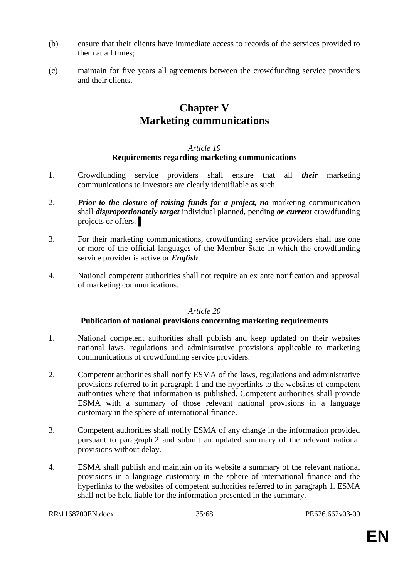- (b) ensure that their clients have immediate access to records of the services provided to them at all times;
- (c) maintain for five years all agreements between the crowdfunding service providers and their clients.

## **Chapter V Marketing communications**

#### *Article 19*

#### **Requirements regarding marketing communications**

- 1. Crowdfunding service providers shall ensure that all *their* marketing communications to investors are clearly identifiable as such.
- 2. *Prior to the closure of raising funds for a project, no* marketing communication shall *disproportionately target* individual planned, pending *or current* crowdfunding projects or offers.
- 3. For their marketing communications, crowdfunding service providers shall use one or more of the official languages of the Member State in which the crowdfunding service provider is active or *English*.
- 4. National competent authorities shall not require an ex ante notification and approval of marketing communications.

#### *Article 20*

#### **Publication of national provisions concerning marketing requirements**

- 1. National competent authorities shall publish and keep updated on their websites national laws, regulations and administrative provisions applicable to marketing communications of crowdfunding service providers.
- 2. Competent authorities shall notify ESMA of the laws, regulations and administrative provisions referred to in paragraph 1 and the hyperlinks to the websites of competent authorities where that information is published. Competent authorities shall provide ESMA with a summary of those relevant national provisions in a language customary in the sphere of international finance.
- 3. Competent authorities shall notify ESMA of any change in the information provided pursuant to paragraph 2 and submit an updated summary of the relevant national provisions without delay.
- 4. ESMA shall publish and maintain on its website a summary of the relevant national provisions in a language customary in the sphere of international finance and the hyperlinks to the websites of competent authorities referred to in paragraph 1. ESMA shall not be held liable for the information presented in the summary.

```
RR\1168700EN.docx 35/68 PE626.662v03-00
```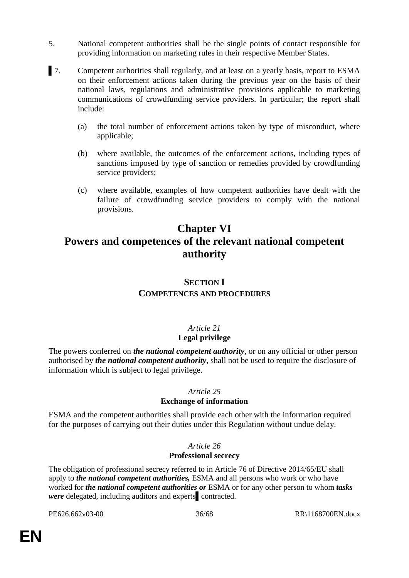- 5. National competent authorities shall be the single points of contact responsible for providing information on marketing rules in their respective Member States.
- ▌7. Competent authorities shall regularly, and at least on a yearly basis, report to ESMA on their enforcement actions taken during the previous year on the basis of their national laws, regulations and administrative provisions applicable to marketing communications of crowdfunding service providers. In particular; the report shall include:
	- (a) the total number of enforcement actions taken by type of misconduct, where applicable;
	- (b) where available, the outcomes of the enforcement actions, including types of sanctions imposed by type of sanction or remedies provided by crowdfunding service providers;
	- (c) where available, examples of how competent authorities have dealt with the failure of crowdfunding service providers to comply with the national provisions.

## **Chapter VI Powers and competences of the relevant national competent authority**

#### **SECTION I COMPETENCES AND PROCEDURES**

#### *Article 21* **Legal privilege**

The powers conferred on *the national competent authority*, or on any official or other person authorised by *the national competent authority*, shall not be used to require the disclosure of information which is subject to legal privilege.

#### *Article 25*

#### **Exchange of information**

ESMA and the competent authorities shall provide each other with the information required for the purposes of carrying out their duties under this Regulation without undue delay.

#### *Article 26*

#### **Professional secrecy**

The obligation of professional secrecy referred to in Article 76 of Directive 2014/65/EU shall apply to *the national competent authorities,* ESMA and all persons who work or who have worked for *the national competent authorities or* ESMA or for any other person to whom *tasks*  were delegated, including auditors and experts contracted.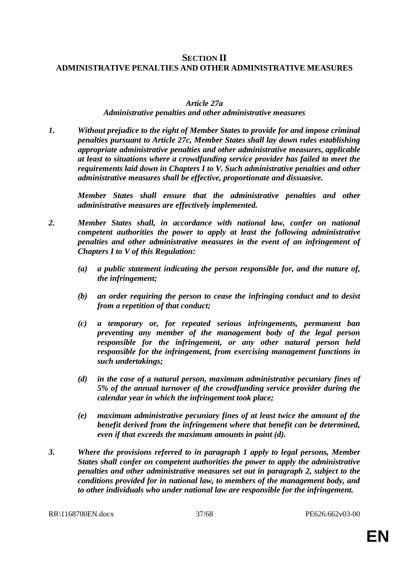#### **SECTION II ADMINISTRATIVE PENALTIES AND OTHER ADMINISTRATIVE MEASURES**

#### *Article 27a*

#### *Administrative penalties and other administrative measures*

*1. Without prejudice to the right of Member States to provide for and impose criminal penalties pursuant to Article 27c, Member States shall lay down rules establishing appropriate administrative penalties and other administrative measures, applicable at least to situations where a crowdfunding service provider has failed to meet the requirements laid down in Chapters I to V. Such administrative penalties and other administrative measures shall be effective, proportionate and dissuasive.*

*Member States shall ensure that the administrative penalties and other administrative measures are effectively implemented.*

- *2. Member States shall, in accordance with national law, confer on national competent authorities the power to apply at least the following administrative penalties and other administrative measures in the event of an infringement of Chapters I to V of this Regulation:*
	- *(a) a public statement indicating the person responsible for, and the nature of, the infringement;*
	- *(b) an order requiring the person to cease the infringing conduct and to desist from a repetition of that conduct;*
	- *(c) a temporary or, for repeated serious infringements, permanent ban preventing any member of the management body of the legal person responsible for the infringement, or any other natural person held responsible for the infringement, from exercising management functions in such undertakings;*
	- *(d) in the case of a natural person, maximum administrative pecuniary fines of 5% of the annual turnover of the crowdfunding service provider during the calendar year in which the infringement took place;*
	- *(e) maximum administrative pecuniary fines of at least twice the amount of the benefit derived from the infringement where that benefit can be determined, even if that exceeds the maximum amounts in point (d).*
- *3. Where the provisions referred to in paragraph 1 apply to legal persons, Member States shall confer on competent authorities the power to apply the administrative penalties and other administrative measures set out in paragraph 2, subject to the conditions provided for in national law, to members of the management body, and to other individuals who under national law are responsible for the infringement.*

RR\1168700EN.docx 37/68 PE626.662v03-00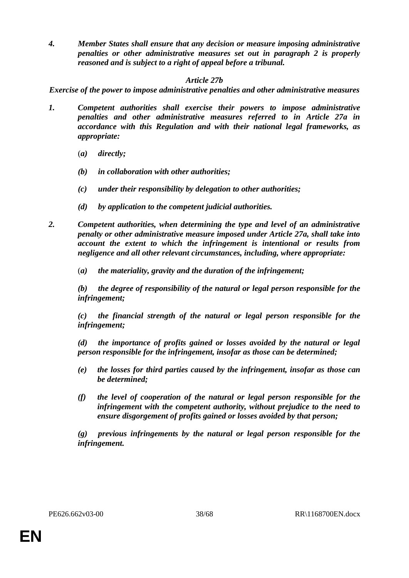*4. Member States shall ensure that any decision or measure imposing administrative penalties or other administrative measures set out in paragraph 2 is properly reasoned and is subject to a right of appeal before a tribunal.*

#### *Article 27b*

*Exercise of the power to impose administrative penalties and other administrative measures*

- *1. Competent authorities shall exercise their powers to impose administrative penalties and other administrative measures referred to in Article 27a in accordance with this Regulation and with their national legal frameworks, as appropriate:*
	- (*a) directly;*
	- *(b) in collaboration with other authorities;*
	- *(c) under their responsibility by delegation to other authorities;*
	- *(d) by application to the competent judicial authorities.*
- *2. Competent authorities, when determining the type and level of an administrative penalty or other administrative measure imposed under Article 27a, shall take into account the extent to which the infringement is intentional or results from negligence and all other relevant circumstances, including, where appropriate:*
	- (*a) the materiality, gravity and the duration of the infringement;*

*(b) the degree of responsibility of the natural or legal person responsible for the infringement;*

*(c) the financial strength of the natural or legal person responsible for the infringement;*

*(d) the importance of profits gained or losses avoided by the natural or legal person responsible for the infringement, insofar as those can be determined;*

- *(e) the losses for third parties caused by the infringement, insofar as those can be determined;*
- *(f) the level of cooperation of the natural or legal person responsible for the infringement with the competent authority, without prejudice to the need to ensure disgorgement of profits gained or losses avoided by that person;*

*(g) previous infringements by the natural or legal person responsible for the infringement.*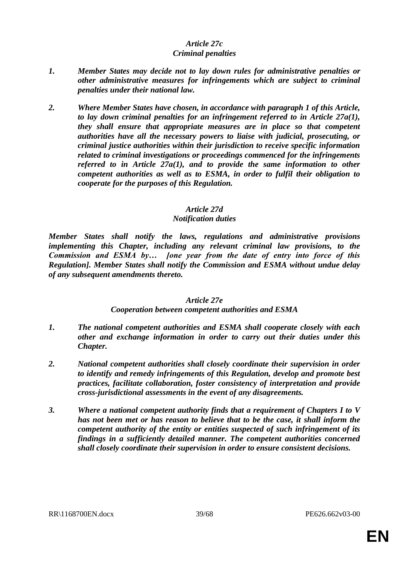#### *Article 27c Criminal penalties*

- *1. Member States may decide not to lay down rules for administrative penalties or other administrative measures for infringements which are subject to criminal penalties under their national law.*
- *2. Where Member States have chosen, in accordance with paragraph 1 of this Article, to lay down criminal penalties for an infringement referred to in Article 27a(1), they shall ensure that appropriate measures are in place so that competent authorities have all the necessary powers to liaise with judicial, prosecuting, or criminal justice authorities within their jurisdiction to receive specific information related to criminal investigations or proceedings commenced for the infringements referred to in Article 27a(1), and to provide the same information to other competent authorities as well as to ESMA, in order to fulfil their obligation to cooperate for the purposes of this Regulation.*

#### *Article 27d*

#### *Notification duties*

*Member States shall notify the laws, regulations and administrative provisions implementing this Chapter, including any relevant criminal law provisions, to the Commission and ESMA by… [one year from the date of entry into force of this Regulation]. Member States shall notify the Commission and ESMA without undue delay of any subsequent amendments thereto.*

#### *Article 27e*

#### *Cooperation between competent authorities and ESMA*

- *1. The national competent authorities and ESMA shall cooperate closely with each other and exchange information in order to carry out their duties under this Chapter.*
- *2. National competent authorities shall closely coordinate their supervision in order to identify and remedy infringements of this Regulation, develop and promote best practices, facilitate collaboration, foster consistency of interpretation and provide cross-jurisdictional assessments in the event of any disagreements.*
- *3. Where a national competent authority finds that a requirement of Chapters I to V has not been met or has reason to believe that to be the case, it shall inform the competent authority of the entity or entities suspected of such infringement of its findings in a sufficiently detailed manner. The competent authorities concerned shall closely coordinate their supervision in order to ensure consistent decisions.*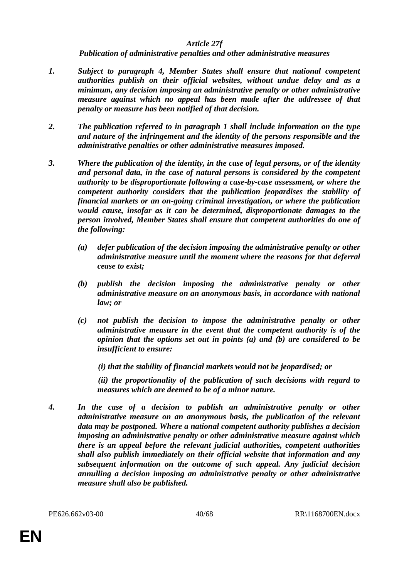#### *Article 27f*

*Publication of administrative penalties and other administrative measures*

- *1. Subject to paragraph 4, Member States shall ensure that national competent authorities publish on their official websites, without undue delay and as a minimum, any decision imposing an administrative penalty or other administrative measure against which no appeal has been made after the addressee of that penalty or measure has been notified of that decision.*
- *2. The publication referred to in paragraph 1 shall include information on the type and nature of the infringement and the identity of the persons responsible and the administrative penalties or other administrative measures imposed.*
- *3. Where the publication of the identity, in the case of legal persons, or of the identity and personal data, in the case of natural persons is considered by the competent authority to be disproportionate following a case-by-case assessment, or where the competent authority considers that the publication jeopardises the stability of financial markets or an on-going criminal investigation, or where the publication would cause, insofar as it can be determined, disproportionate damages to the person involved, Member States shall ensure that competent authorities do one of the following:*
	- *(a) defer publication of the decision imposing the administrative penalty or other administrative measure until the moment where the reasons for that deferral cease to exist;*
	- *(b) publish the decision imposing the administrative penalty or other administrative measure on an anonymous basis, in accordance with national law; or*
	- *(c) not publish the decision to impose the administrative penalty or other administrative measure in the event that the competent authority is of the opinion that the options set out in points (a) and (b) are considered to be insufficient to ensure:*

*(i) that the stability of financial markets would not be jeopardised; or*

*(ii) the proportionality of the publication of such decisions with regard to measures which are deemed to be of a minor nature.*

*4. In the case of a decision to publish an administrative penalty or other administrative measure on an anonymous basis, the publication of the relevant data may be postponed. Where a national competent authority publishes a decision imposing an administrative penalty or other administrative measure against which there is an appeal before the relevant judicial authorities, competent authorities shall also publish immediately on their official website that information and any subsequent information on the outcome of such appeal. Any judicial decision annulling a decision imposing an administrative penalty or other administrative measure shall also be published.*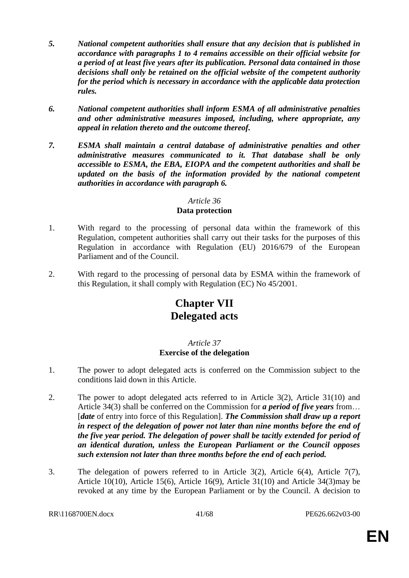- *5. National competent authorities shall ensure that any decision that is published in accordance with paragraphs 1 to 4 remains accessible on their official website for a period of at least five years after its publication. Personal data contained in those decisions shall only be retained on the official website of the competent authority for the period which is necessary in accordance with the applicable data protection rules.*
- *6. National competent authorities shall inform ESMA of all administrative penalties and other administrative measures imposed, including, where appropriate, any appeal in relation thereto and the outcome thereof.*
- *7. ESMA shall maintain a central database of administrative penalties and other administrative measures communicated to it. That database shall be only accessible to ESMA, the EBA, EIOPA and the competent authorities and shall be updated on the basis of the information provided by the national competent authorities in accordance with paragraph 6.*

#### *Article 36* **Data protection**

- 1. With regard to the processing of personal data within the framework of this Regulation, competent authorities shall carry out their tasks for the purposes of this Regulation in accordance with Regulation (EU) 2016/679 of the European Parliament and of the Council.
- 2. With regard to the processing of personal data by ESMA within the framework of this Regulation, it shall comply with Regulation (EC) No 45/2001.

## **Chapter VII Delegated acts**

#### *Article 37* **Exercise of the delegation**

- 1. The power to adopt delegated acts is conferred on the Commission subject to the conditions laid down in this Article.
- 2. The power to adopt delegated acts referred to in Article 3(2), Article 31(10) and Article 34(3) shall be conferred on the Commission for *a period of five years* from… [*date* of entry into force of this Regulation]. *The Commission shall draw up a report in respect of the delegation of power not later than nine months before the end of the five year period. The delegation of power shall be tacitly extended for period of an identical duration, unless the European Parliament or the Council opposes such extension not later than three months before the end of each period.*
- 3. The delegation of powers referred to in Article 3(2), Article 6(4), Article 7(7), Article 10(10), Article 15(6), Article 16(9), Article 31(10) and Article 34(3)may be revoked at any time by the European Parliament or by the Council. A decision to

RR\1168700EN.docx 41/68 PE626.662v03-00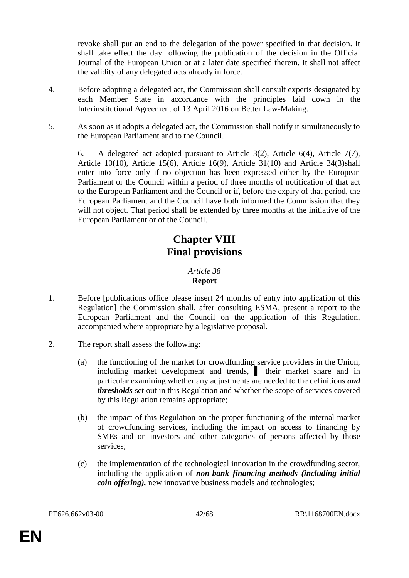revoke shall put an end to the delegation of the power specified in that decision. It shall take effect the day following the publication of the decision in the Official Journal of the European Union or at a later date specified therein. It shall not affect the validity of any delegated acts already in force.

- 4. Before adopting a delegated act, the Commission shall consult experts designated by each Member State in accordance with the principles laid down in the Interinstitutional Agreement of 13 April 2016 on Better Law-Making.
- 5. As soon as it adopts a delegated act, the Commission shall notify it simultaneously to the European Parliament and to the Council.

6. A delegated act adopted pursuant to Article  $3(2)$ , Article  $6(4)$ , Article  $7(7)$ , Article 10(10), Article 15(6), Article 16(9), Article 31(10) and Article 34(3)shall enter into force only if no objection has been expressed either by the European Parliament or the Council within a period of three months of notification of that act to the European Parliament and the Council or if, before the expiry of that period, the European Parliament and the Council have both informed the Commission that they will not object. That period shall be extended by three months at the initiative of the European Parliament or of the Council.

## **Chapter VIII Final provisions**

#### *Article 38* **Report**

- 1. Before [publications office please insert 24 months of entry into application of this Regulation] the Commission shall, after consulting ESMA, present a report to the European Parliament and the Council on the application of this Regulation, accompanied where appropriate by a legislative proposal.
- 2. The report shall assess the following:
	- (a) the functioning of the market for crowdfunding service providers in the Union, including market development and trends, ▌ their market share and in particular examining whether any adjustments are needed to the definitions *and thresholds* set out in this Regulation and whether the scope of services covered by this Regulation remains appropriate;
	- (b) the impact of this Regulation on the proper functioning of the internal market of crowdfunding services, including the impact on access to financing by SMEs and on investors and other categories of persons affected by those services;
	- (c) the implementation of the technological innovation in the crowdfunding sector, including the application of *non-bank financing methods (including initial coin offering*), new innovative business models and technologies;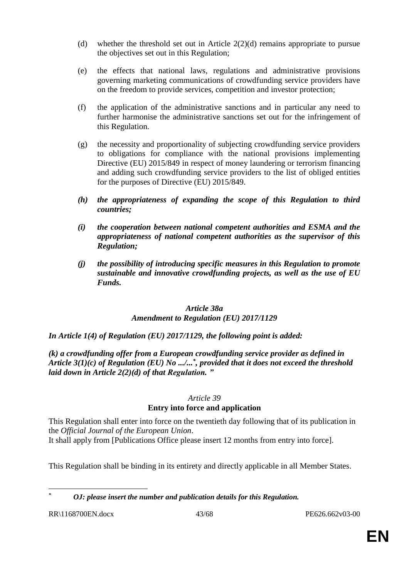- (d) whether the threshold set out in Article 2(2)(d) remains appropriate to pursue the objectives set out in this Regulation;
- (e) the effects that national laws, regulations and administrative provisions governing marketing communications of crowdfunding service providers have on the freedom to provide services, competition and investor protection;
- (f) the application of the administrative sanctions and in particular any need to further harmonise the administrative sanctions set out for the infringement of this Regulation.
- (g) the necessity and proportionality of subjecting crowdfunding service providers to obligations for compliance with the national provisions implementing Directive (EU) 2015/849 in respect of money laundering or terrorism financing and adding such crowdfunding service providers to the list of obliged entities for the purposes of Directive (EU) 2015/849.
- *(h) the appropriateness of expanding the scope of this Regulation to third countries;*
- *(i) the cooperation between national competent authorities and ESMA and the appropriateness of national competent authorities as the supervisor of this Regulation;*
- *(j) the possibility of introducing specific measures in this Regulation to promote sustainable and innovative crowdfunding projects, as well as the use of EU Funds.*

#### *Article 38a Amendment to Regulation (EU) 2017/1129*

*In Article 1(4) of Regulation (EU) 2017/1129, the following point is added:*

*(k) a crowdfunding offer from a European crowdfunding service provider as defined in Article 3(1)(c) of Regulation (EU) No .../...\* , provided that it does not exceed the threshold laid down in Article 2(2)(d) of that Regulation. "*

#### *Article 39*

#### **Entry into force and application**

This Regulation shall enter into force on the twentieth day following that of its publication in the *Official Journal of the European Union*. It shall apply from [Publications Office please insert 12 months from entry into force].

This Regulation shall be binding in its entirety and directly applicable in all Member States.

1

*\* OJ: please insert the number and publication details for this Regulation.*

RR\1168700EN.docx 43/68 PE626.662v03-00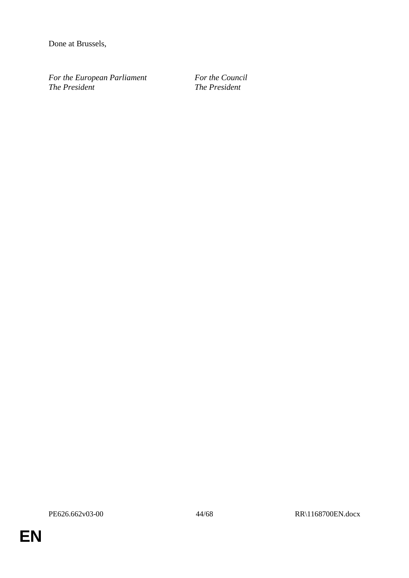Done at Brussels,

*For the European Parliament For the Council*<br>*The President The President The President The President*

PE626.662v03-00 44/68 RR\1168700EN.docx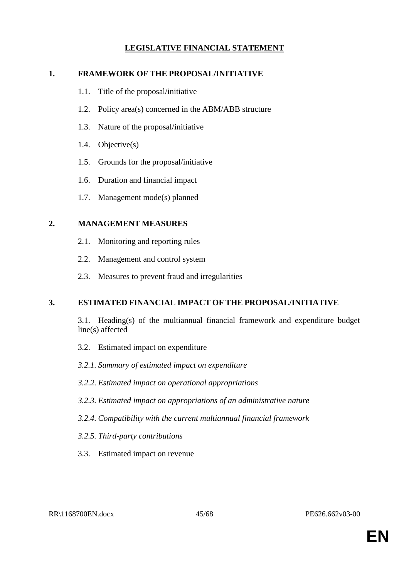#### **LEGISLATIVE FINANCIAL STATEMENT**

#### **1. FRAMEWORK OF THE PROPOSAL/INITIATIVE**

- 1.1. Title of the proposal/initiative
- 1.2. Policy area(s) concerned in the ABM/ABB structure
- 1.3. Nature of the proposal/initiative
- 1.4. Objective(s)
- 1.5. Grounds for the proposal/initiative
- 1.6. Duration and financial impact
- 1.7. Management mode(s) planned

#### **2. MANAGEMENT MEASURES**

- 2.1. Monitoring and reporting rules
- 2.2. Management and control system
- 2.3. Measures to prevent fraud and irregularities

#### **3. ESTIMATED FINANCIAL IMPACT OF THE PROPOSAL/INITIATIVE**

3.1. Heading(s) of the multiannual financial framework and expenditure budget line(s) affected

- 3.2. Estimated impact on expenditure
- *3.2.1. Summary of estimated impact on expenditure*
- *3.2.2. Estimated impact on operational appropriations*
- *3.2.3. Estimated impact on appropriations of an administrative nature*
- *3.2.4. Compatibility with the current multiannual financial framework*
- *3.2.5. Third-party contributions*
- 3.3. Estimated impact on revenue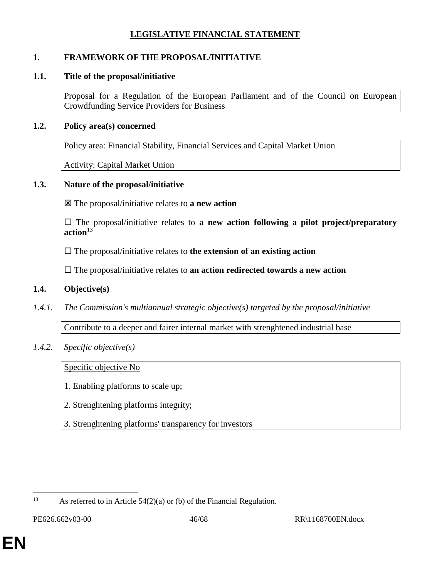#### **LEGISLATIVE FINANCIAL STATEMENT**

#### **1. FRAMEWORK OF THE PROPOSAL/INITIATIVE**

#### **1.1. Title of the proposal/initiative**

Proposal for a Regulation of the European Parliament and of the Council on European Crowdfunding Service Providers for Business

#### **1.2. Policy area(s) concerned**

Policy area: Financial Stability, Financial Services and Capital Market Union

Activity: Capital Market Union

#### **1.3. Nature of the proposal/initiative**

The proposal/initiative relates to **a new action** 

 $\Box$  The proposal/initiative relates to **a new action following a pilot project/preparatory action**<sup>13</sup>

The proposal/initiative relates to **the extension of an existing action**

The proposal/initiative relates to **an action redirected towards a new action**

#### **1.4. Objective(s)**

*1.4.1. The Commission's multiannual strategic objective(s) targeted by the proposal/initiative* 

Contribute to a deeper and fairer internal market with strenghtened industrial base

#### *1.4.2. Specific objective(s)*

#### Specific objective No

- 1. Enabling platforms to scale up;
- 2. Strenghtening platforms integrity;
- 3. Strenghtening platforms' transparency for investors

<sup>&</sup>lt;sup>13</sup> As referred to in Article  $54(2)(a)$  or (b) of the Financial Regulation.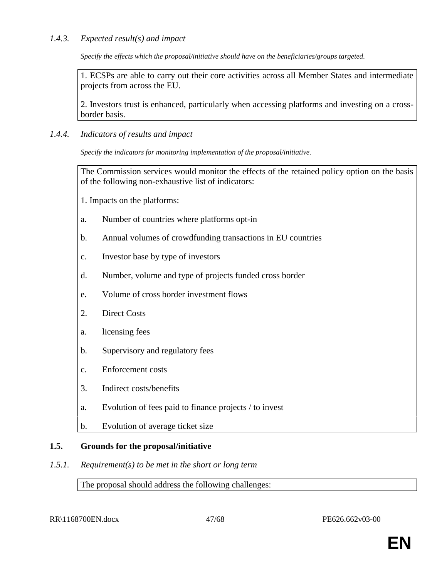#### *1.4.3. Expected result(s) and impact*

*Specify the effects which the proposal/initiative should have on the beneficiaries/groups targeted.*

1. ECSPs are able to carry out their core activities across all Member States and intermediate projects from across the EU.

2. Investors trust is enhanced, particularly when accessing platforms and investing on a crossborder basis.

#### *1.4.4. Indicators of results and impact*

*Specify the indicators for monitoring implementation of the proposal/initiative.*

The Commission services would monitor the effects of the retained policy option on the basis of the following non-exhaustive list of indicators:

- 1. Impacts on the platforms:
- a. Number of countries where platforms opt-in
- b. Annual volumes of crowdfunding transactions in EU countries
- c. Investor base by type of investors
- d. Number, volume and type of projects funded cross border
- e. Volume of cross border investment flows
- 2. Direct Costs
- a. licensing fees
- b. Supervisory and regulatory fees
- c. Enforcement costs
- 3. Indirect costs/benefits
- a. Evolution of fees paid to finance projects / to invest
- b. Evolution of average ticket size

#### **1.5. Grounds for the proposal/initiative**

#### *1.5.1. Requirement(s) to be met in the short or long term*

The proposal should address the following challenges:

RR\1168700EN.docx 47/68 PE626.662v03-00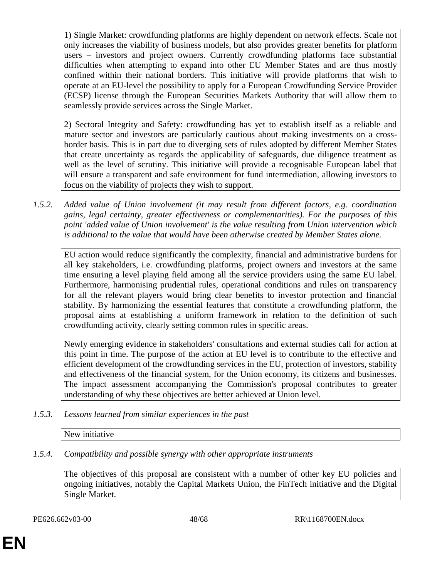1) Single Market: crowdfunding platforms are highly dependent on network effects. Scale not only increases the viability of business models, but also provides greater benefits for platform users – investors and project owners. Currently crowdfunding platforms face substantial difficulties when attempting to expand into other EU Member States and are thus mostly confined within their national borders. This initiative will provide platforms that wish to operate at an EU-level the possibility to apply for a European Crowdfunding Service Provider (ECSP) license through the European Securities Markets Authority that will allow them to seamlessly provide services across the Single Market.

2) Sectoral Integrity and Safety: crowdfunding has yet to establish itself as a reliable and mature sector and investors are particularly cautious about making investments on a crossborder basis. This is in part due to diverging sets of rules adopted by different Member States that create uncertainty as regards the applicability of safeguards, due diligence treatment as well as the level of scrutiny. This initiative will provide a recognisable European label that will ensure a transparent and safe environment for fund intermediation, allowing investors to focus on the viability of projects they wish to support.

*1.5.2. Added value of Union involvement (it may result from different factors, e.g. coordination gains, legal certainty, greater effectiveness or complementarities). For the purposes of this point 'added value of Union involvement' is the value resulting from Union intervention which is additional to the value that would have been otherwise created by Member States alone.*

EU action would reduce significantly the complexity, financial and administrative burdens for all key stakeholders, i.e. crowdfunding platforms, project owners and investors at the same time ensuring a level playing field among all the service providers using the same EU label. Furthermore, harmonising prudential rules, operational conditions and rules on transparency for all the relevant players would bring clear benefits to investor protection and financial stability. By harmonizing the essential features that constitute a crowdfunding platform, the proposal aims at establishing a uniform framework in relation to the definition of such crowdfunding activity, clearly setting common rules in specific areas.

Newly emerging evidence in stakeholders' consultations and external studies call for action at this point in time. The purpose of the action at EU level is to contribute to the effective and efficient development of the crowdfunding services in the EU, protection of investors, stability and effectiveness of the financial system, for the Union economy, its citizens and businesses. The impact assessment accompanying the Commission's proposal contributes to greater understanding of why these objectives are better achieved at Union level.

*1.5.3. Lessons learned from similar experiences in the past*

New initiative

*1.5.4. Compatibility and possible synergy with other appropriate instruments*

The objectives of this proposal are consistent with a number of other key EU policies and ongoing initiatives, notably the Capital Markets Union, the FinTech initiative and the Digital Single Market.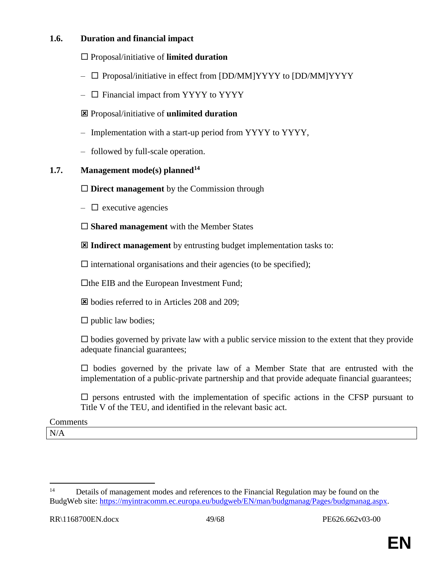#### **1.6. Duration and financial impact**

Proposal/initiative of **limited duration** 

- $\Box$  Proposal/initiative in effect from [DD/MM]YYYY to [DD/MM]YYYY
- $\Box$  Financial impact from YYYY to YYYY

#### Proposal/initiative of **unlimited duration**

- Implementation with a start-up period from YYYY to YYYY,
- followed by full-scale operation.

#### **1.7. Management mode(s) planned<sup>14</sup>**

□ **Direct management** by the Commission through

 $\Box$  executive agencies

**Shared management** with the Member States

**Indirect management** by entrusting budget implementation tasks to:

 $\square$  international organisations and their agencies (to be specified);

 $\Box$  the EIB and the European Investment Fund;

bodies referred to in Articles 208 and 209;

 $\square$  public law bodies;

 $\Box$  bodies governed by private law with a public service mission to the extent that they provide adequate financial guarantees;

 $\square$  bodies governed by the private law of a Member State that are entrusted with the implementation of a public-private partnership and that provide adequate financial guarantees;

 $\square$  persons entrusted with the implementation of specific actions in the CFSP pursuant to Title V of the TEU, and identified in the relevant basic act.

**Comments** N/A

 $\overline{a}$ <sup>14</sup> Details of management modes and references to the Financial Regulation may be found on the BudgWeb site: [https://myintracomm.ec.europa.eu/budgweb/EN/man/budgmanag/Pages/budgmanag.aspx.](https://myintracomm.ec.europa.eu/budgweb/EN/man/budgmanag/Pages/budgmanag.aspx)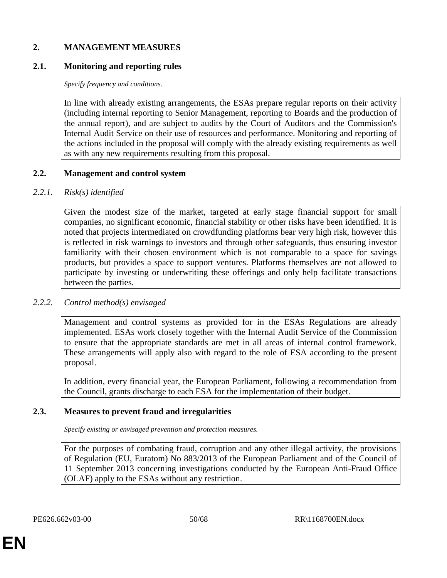#### **2. MANAGEMENT MEASURES**

#### **2.1. Monitoring and reporting rules**

*Specify frequency and conditions.*

In line with already existing arrangements, the ESAs prepare regular reports on their activity (including internal reporting to Senior Management, reporting to Boards and the production of the annual report), and are subject to audits by the Court of Auditors and the Commission's Internal Audit Service on their use of resources and performance. Monitoring and reporting of the actions included in the proposal will comply with the already existing requirements as well as with any new requirements resulting from this proposal.

#### **2.2. Management and control system**

#### *2.2.1. Risk(s) identified*

Given the modest size of the market, targeted at early stage financial support for small companies, no significant economic, financial stability or other risks have been identified. It is noted that projects intermediated on crowdfunding platforms bear very high risk, however this is reflected in risk warnings to investors and through other safeguards, thus ensuring investor familiarity with their chosen environment which is not comparable to a space for savings products, but provides a space to support ventures. Platforms themselves are not allowed to participate by investing or underwriting these offerings and only help facilitate transactions between the parties.

#### *2.2.2. Control method(s) envisaged*

Management and control systems as provided for in the ESAs Regulations are already implemented. ESAs work closely together with the Internal Audit Service of the Commission to ensure that the appropriate standards are met in all areas of internal control framework. These arrangements will apply also with regard to the role of ESA according to the present proposal.

In addition, every financial year, the European Parliament, following a recommendation from the Council, grants discharge to each ESA for the implementation of their budget.

#### **2.3. Measures to prevent fraud and irregularities**

*Specify existing or envisaged prevention and protection measures.*

For the purposes of combating fraud, corruption and any other illegal activity, the provisions of Regulation (EU, Euratom) No 883/2013 of the European Parliament and of the Council of 11 September 2013 concerning investigations conducted by the European Anti-Fraud Office (OLAF) apply to the ESAs without any restriction.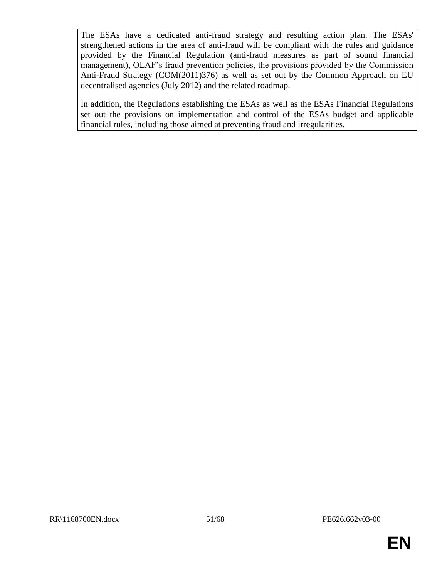The ESAs have a dedicated anti-fraud strategy and resulting action plan. The ESAs' strengthened actions in the area of anti-fraud will be compliant with the rules and guidance provided by the Financial Regulation (anti-fraud measures as part of sound financial management), OLAF's fraud prevention policies, the provisions provided by the Commission Anti-Fraud Strategy (COM(2011)376) as well as set out by the Common Approach on EU decentralised agencies (July 2012) and the related roadmap.

In addition, the Regulations establishing the ESAs as well as the ESAs Financial Regulations set out the provisions on implementation and control of the ESAs budget and applicable financial rules, including those aimed at preventing fraud and irregularities.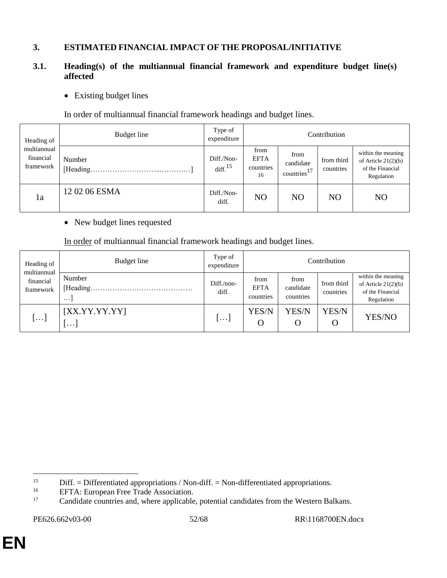#### **3. ESTIMATED FINANCIAL IMPACT OF THE PROPOSAL/INITIATIVE**

#### **3.1. Heading(s) of the multiannual financial framework and expenditure budget line(s) affected**

• Existing budget lines

In order of multiannual financial framework headings and budget lines.

| Heading of                            | Budget line   | Type of<br>expenditure   |                                        |                                              | Contribution            |                                                                               |
|---------------------------------------|---------------|--------------------------|----------------------------------------|----------------------------------------------|-------------------------|-------------------------------------------------------------------------------|
| multiannual<br>financial<br>framework | Number        | Diff./Non-<br>diff. $15$ | from<br><b>EFTA</b><br>countries<br>16 | from<br>candidate<br>countries <sup>17</sup> | from third<br>countries | within the meaning<br>of Article $21(2)(b)$<br>of the Financial<br>Regulation |
| 1a                                    | 12 02 06 ESMA | Diff./Non-<br>diff.      | N <sub>O</sub>                         | N <sub>O</sub>                               | N <sub>O</sub>          | N <sub>O</sub>                                                                |

• New budget lines requested

In order of multiannual financial framework headings and budget lines.

| Heading of<br>multiannual | Budget line                    | Type of<br>expenditure |                                  |                                | Contribution            |                                                                               |
|---------------------------|--------------------------------|------------------------|----------------------------------|--------------------------------|-------------------------|-------------------------------------------------------------------------------|
| financial<br>framework    | Number<br>[Heading<br>$\cdots$ | Diff./non-<br>diff.    | from<br><b>EFTA</b><br>countries | from<br>candidate<br>countries | from third<br>countries | within the meaning<br>of Article $21(2)(b)$<br>of the Financial<br>Regulation |
| $ \cdots $                | [XX.YY.YY.YY]<br>$\cdots$      |                        | YES/N<br>$\Omega$                | YES/N<br>$\mathcal{O}$         | YES/N<br>Ő              | YES/NO                                                                        |

 $15\,$ <sup>15</sup> Diff. = Differentiated appropriations / Non-diff. = Non-differentiated appropriations.<br><sup>16</sup> EETA: European Free Trade Association

<sup>&</sup>lt;sup>16</sup> EFTA: European Free Trade Association.<br><sup>17</sup> Candidate countries and where applicable

Candidate countries and, where applicable, potential candidates from the Western Balkans.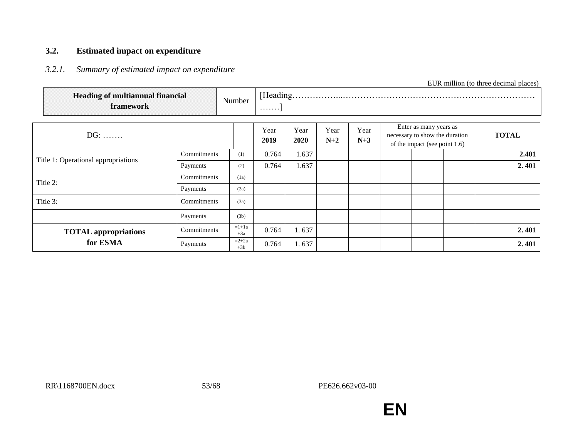#### **3.2. Estimated impact on expenditure**

#### *3.2.1. Summary of estimated impact on expenditure*

EUR million (to three decimal places)

| <b>Heading of multiannual financial</b><br>framework |             | Number           | .            |              |               |               |                                                                                           |              |
|------------------------------------------------------|-------------|------------------|--------------|--------------|---------------|---------------|-------------------------------------------------------------------------------------------|--------------|
| $DG: \ldots \ldots$                                  |             |                  | Year<br>2019 | Year<br>2020 | Year<br>$N+2$ | Year<br>$N+3$ | Enter as many years as<br>necessary to show the duration<br>of the impact (see point 1.6) | <b>TOTAL</b> |
| Title 1: Operational appropriations                  | Commitments | (1)              | 0.764        | 1.637        |               |               |                                                                                           | 2.401        |
|                                                      | Payments    | (2)              | 0.764        | 1.637        |               |               |                                                                                           | 2.401        |
| Title 2:                                             | Commitments | (1a)             |              |              |               |               |                                                                                           |              |
|                                                      | Payments    | (2a)             |              |              |               |               |                                                                                           |              |
| Title 3:                                             | Commitments | (3a)             |              |              |               |               |                                                                                           |              |
|                                                      | Payments    | (3b)             |              |              |               |               |                                                                                           |              |
| <b>TOTAL</b> appropriations                          | Commitments | $=1+1a$<br>$+3a$ | 0.764        | 1.637        |               |               |                                                                                           | 2.401        |
| for ESMA                                             | Payments    | $=2+2a$<br>$+3b$ | 0.764        | 1.637        |               |               |                                                                                           | 2.401        |

RR\1168700EN.docx 53/68 PE626.662v03-00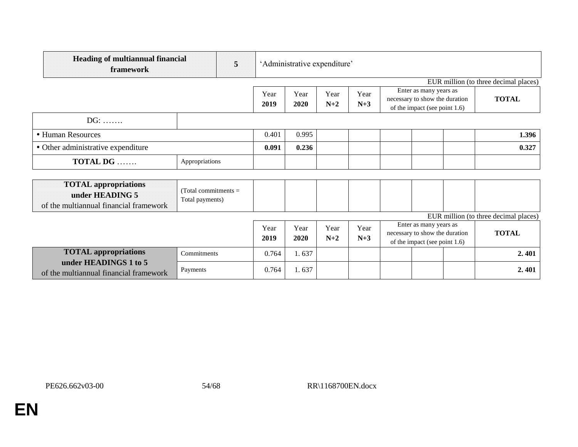| framework                                                                                | <b>Heading of multiannual financial</b><br>5 |  |              | 'Administrative expenditure' |               |               |                                                                                           |                                       |
|------------------------------------------------------------------------------------------|----------------------------------------------|--|--------------|------------------------------|---------------|---------------|-------------------------------------------------------------------------------------------|---------------------------------------|
|                                                                                          |                                              |  |              |                              |               |               |                                                                                           | EUR million (to three decimal places) |
|                                                                                          |                                              |  | Year<br>2019 | Year<br>2020                 | Year<br>$N+2$ | Year<br>$N+3$ | Enter as many years as<br>necessary to show the duration<br>of the impact (see point 1.6) | <b>TOTAL</b>                          |
| DG:                                                                                      |                                              |  |              |                              |               |               |                                                                                           |                                       |
| • Human Resources                                                                        |                                              |  | 0.401        | 0.995                        |               |               |                                                                                           | 1.396                                 |
| • Other administrative expenditure                                                       |                                              |  | 0.091        | 0.236                        |               |               |                                                                                           | 0.327                                 |
| <b>TOTAL DG</b>                                                                          | Appropriations                               |  |              |                              |               |               |                                                                                           |                                       |
| <b>TOTAL</b> appropriations<br>under HEADING 5<br>of the multiannual financial framework | (Total commitments $=$<br>Total payments)    |  |              |                              |               |               |                                                                                           |                                       |
|                                                                                          |                                              |  |              |                              |               |               |                                                                                           | EUR million (to three decimal places) |
|                                                                                          |                                              |  | Year<br>2019 | Year<br>2020                 | Year<br>$N+2$ | Year<br>$N+3$ | Enter as many years as<br>necessary to show the duration<br>of the impact (see point 1.6) | <b>TOTAL</b>                          |
| <b>TOTAL appropriations</b>                                                              | Commitments                                  |  | 0.764        | 1.637                        |               |               |                                                                                           | 2.401                                 |
| under HEADINGS 1 to 5<br>of the multiannual financial framework                          | Payments                                     |  | 0.764        | 1.637                        |               |               |                                                                                           | 2.401                                 |

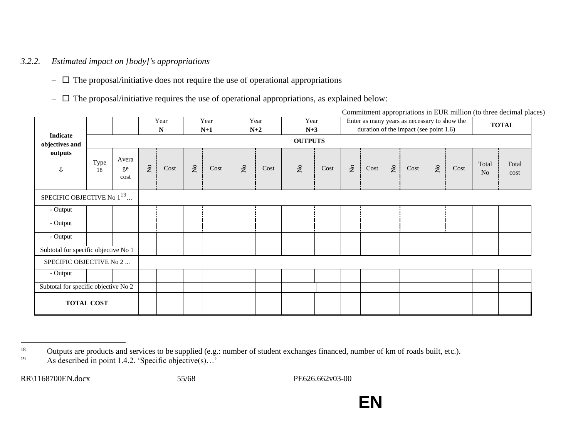#### *3.2.2. Estimated impact on [body]'s appropriations*

- $\Box$  The proposal/initiative does not require the use of operational appropriations
- $-\Box$  The proposal/initiative requires the use of operational appropriations, as explained below:

|                                      |                   |                     |                           | Year<br>${\bf N}$ |                           | Year<br>$N+1$ |                           | Year<br>$N+2$ | Year<br>$N+3$ |      |                         |      |                           | Enter as many years as necessary to show the<br>duration of the impact (see point 1.6) |                         |      |                         | <b>TOTAL</b>  |
|--------------------------------------|-------------------|---------------------|---------------------------|-------------------|---------------------------|---------------|---------------------------|---------------|---------------|------|-------------------------|------|---------------------------|----------------------------------------------------------------------------------------|-------------------------|------|-------------------------|---------------|
| Indicate<br>objectives and           | <b>OUTPUTS</b>    |                     |                           |                   |                           |               |                           |               |               |      |                         |      |                           |                                                                                        |                         |      |                         |               |
| outputs<br>⇩                         | Type<br>18        | Avera<br>ge<br>cost | $\mathsf{S}^{\mathsf{O}}$ | Cost              | $\mathsf{S}^{\mathsf{O}}$ | Cost          | $\mathsf{S}^{\mathsf{O}}$ | Cost          | $\mathsf{S}$  | Cost | $\mathring{\mathsf{Z}}$ | Cost | $\rm \stackrel{\circ}{X}$ | Cost                                                                                   | $\mathring{\mathsf{Z}}$ | Cost | Total<br>N <sub>o</sub> | Total<br>cost |
| SPECIFIC OBJECTIVE No $1^{19}$       |                   |                     |                           |                   |                           |               |                           |               |               |      |                         |      |                           |                                                                                        |                         |      |                         |               |
| - Output                             |                   |                     |                           |                   |                           |               |                           |               |               |      |                         |      |                           |                                                                                        |                         |      |                         |               |
| - Output                             |                   |                     |                           |                   |                           |               |                           |               |               |      |                         |      |                           |                                                                                        |                         |      |                         |               |
| - Output                             |                   |                     |                           |                   |                           |               |                           |               |               |      |                         |      |                           |                                                                                        |                         |      |                         |               |
| Subtotal for specific objective No 1 |                   |                     |                           |                   |                           |               |                           |               |               |      |                         |      |                           |                                                                                        |                         |      |                         |               |
| SPECIFIC OBJECTIVE No 2              |                   |                     |                           |                   |                           |               |                           |               |               |      |                         |      |                           |                                                                                        |                         |      |                         |               |
| - Output                             |                   |                     |                           |                   |                           |               |                           |               |               |      |                         |      |                           |                                                                                        |                         |      |                         |               |
| Subtotal for specific objective No 2 |                   |                     |                           |                   |                           |               |                           |               |               |      |                         |      |                           |                                                                                        |                         |      |                         |               |
|                                      | <b>TOTAL COST</b> |                     |                           |                   |                           |               |                           |               |               |      |                         |      |                           |                                                                                        |                         |      |                         |               |

RR\1168700EN.docx 55/68 PE626.662v03-00

 $\overline{a}$ 

Commitment appropriations in EUR million (to three decimal places)

<sup>&</sup>lt;sup>18</sup> Outputs are products and services to be supplied (e.g.: number of student exchanges financed, number of km of roads built, etc.).<br><sup>19</sup> As described in point 1.4.2. 'Specific objective(s) As described in point 1.4.2. 'Specific objective(s)...'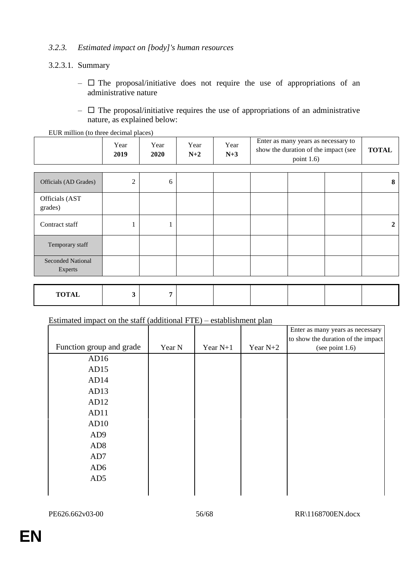#### *3.2.3. Estimated impact on [body]'s human resources*

#### 3.2.3.1. Summary

- $\Box$  The proposal/initiative does not require the use of appropriations of an administrative nature
- $\Box$  The proposal/initiative requires the use of appropriations of an administrative nature, as explained below:

| EUR million (to three decimal places) | Year<br>2019   | Year<br>2020 | Year<br>$N+2$ | Year<br>$N+3$ | Enter as many years as necessary to<br>show the duration of the impact (see<br>point $1.6$ ) | <b>TOTAL</b>   |
|---------------------------------------|----------------|--------------|---------------|---------------|----------------------------------------------------------------------------------------------|----------------|
| Officials (AD Grades)                 | $\overline{c}$ | 6            |               |               |                                                                                              | 8              |
| Officials (AST<br>grades)             |                |              |               |               |                                                                                              |                |
| Contract staff                        | $\mathbf{r}$   |              |               |               |                                                                                              | $\overline{2}$ |
| Temporary staff                       |                |              |               |               |                                                                                              |                |
| <b>Seconded National</b><br>Experts   |                |              |               |               |                                                                                              |                |
|                                       |                |              |               |               |                                                                                              |                |
| <b>TOTAL</b>                          | 3              | 7            |               |               |                                                                                              |                |

EUR million (to three decimal places)

#### Estimated impact on the staff (additional FTE) – establishment plan

|                          |        |            |            | Enter as many years as necessary<br>to show the duration of the impact |
|--------------------------|--------|------------|------------|------------------------------------------------------------------------|
| Function group and grade | Year N | Year $N+1$ | Year $N+2$ | (see point $1.6$ )                                                     |
| AD16                     |        |            |            |                                                                        |
| AD15                     |        |            |            |                                                                        |
| AD14                     |        |            |            |                                                                        |
| AD13                     |        |            |            |                                                                        |
| AD12                     |        |            |            |                                                                        |
| AD11                     |        |            |            |                                                                        |
| AD10                     |        |            |            |                                                                        |
| AD <sub>9</sub>          |        |            |            |                                                                        |
| AD <sub>8</sub>          |        |            |            |                                                                        |
| AD7                      |        |            |            |                                                                        |
| AD <sub>6</sub>          |        |            |            |                                                                        |
| AD <sub>5</sub>          |        |            |            |                                                                        |
|                          |        |            |            |                                                                        |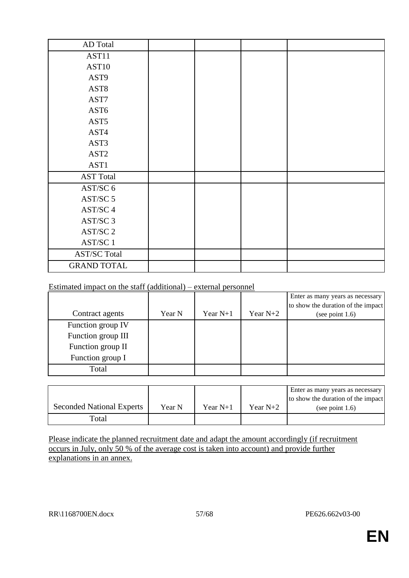| AD Total            |  |  |
|---------------------|--|--|
| AST11               |  |  |
| AST10               |  |  |
| AST9                |  |  |
| AST <sub>8</sub>    |  |  |
| AST7                |  |  |
| AST6                |  |  |
| AST <sub>5</sub>    |  |  |
| AST4                |  |  |
| AST3                |  |  |
| AST <sub>2</sub>    |  |  |
| AST1                |  |  |
| <b>AST</b> Total    |  |  |
| AST/SC 6            |  |  |
| AST/SC 5            |  |  |
| AST/SC 4            |  |  |
| AST/SC 3            |  |  |
| AST/SC 2            |  |  |
| AST/SC 1            |  |  |
| <b>AST/SC Total</b> |  |  |
| <b>GRAND TOTAL</b>  |  |  |

Estimated impact on the staff (additional) – external personnel

|                    |        |            |            | Enter as many years as necessary   |
|--------------------|--------|------------|------------|------------------------------------|
|                    |        |            |            | to show the duration of the impact |
| Contract agents    | Year N | Year $N+1$ | Year $N+2$ | (see point $1.6$ )                 |
| Function group IV  |        |            |            |                                    |
| Function group III |        |            |            |                                    |
| Function group II  |        |            |            |                                    |
| Function group I   |        |            |            |                                    |
| Total              |        |            |            |                                    |

|                                  |        |            |            | Enter as many years as necessary                         |
|----------------------------------|--------|------------|------------|----------------------------------------------------------|
| <b>Seconded National Experts</b> | Year N | Year $N+1$ | Year $N+2$ | to show the duration of the impact<br>(see point $1.6$ ) |
| Total                            |        |            |            |                                                          |

Please indicate the planned recruitment date and adapt the amount accordingly (if recruitment occurs in July, only 50 % of the average cost is taken into account) and provide further explanations in an annex.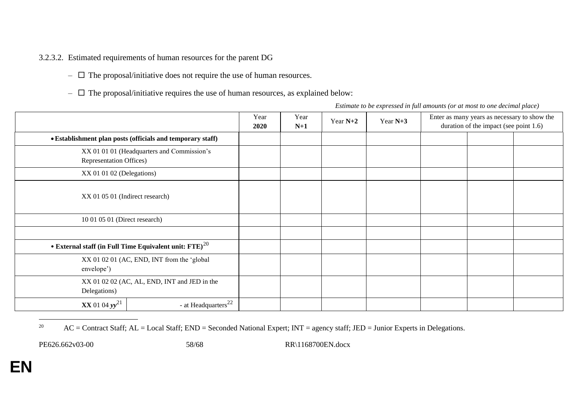3.2.3.2. Estimated requirements of human resources for the parent DG

 $\Box$  The proposal/initiative does not require the use of human resources.

 $\Box$  The proposal/initiative requires the use of human resources, as explained below:

*Estimate to be expressed in full amounts (or at most to one decimal place)*

|                                |                                                                              | Year<br>2020 | Year<br>$N+1$ | Year $N+2$ | Year $N+3$ | Enter as many years as necessary to show the<br>duration of the impact (see point 1.6) |  |
|--------------------------------|------------------------------------------------------------------------------|--------------|---------------|------------|------------|----------------------------------------------------------------------------------------|--|
|                                | • Establishment plan posts (officials and temporary staff)                   |              |               |            |            |                                                                                        |  |
| <b>Representation Offices)</b> | XX 01 01 01 (Headquarters and Commission's                                   |              |               |            |            |                                                                                        |  |
| XX 01 01 02 (Delegations)      |                                                                              |              |               |            |            |                                                                                        |  |
|                                | XX 01 05 01 (Indirect research)                                              |              |               |            |            |                                                                                        |  |
| 10 01 05 01 (Direct research)  |                                                                              |              |               |            |            |                                                                                        |  |
|                                |                                                                              |              |               |            |            |                                                                                        |  |
|                                | • External staff (in Full Time Equivalent unit: $\text{FTE}$ ) <sup>20</sup> |              |               |            |            |                                                                                        |  |
| envelope')                     | XX 01 02 01 (AC, END, INT from the 'global                                   |              |               |            |            |                                                                                        |  |
| Delegations)                   | XX 01 02 02 (AC, AL, END, INT and JED in the                                 |              |               |            |            |                                                                                        |  |
| $XX$ 01 04 $yy^{21}$           | $\frac{1}{2}$ at Headquarters <sup>22</sup>                                  |              |               |            |            |                                                                                        |  |

20 AC = Contract Staff; AL = Local Staff; END = Seconded National Expert; INT = agency staff; JED = Junior Experts in Delegations.

PE626.662v03-00 58/68 RR\1168700EN.docx

**EN**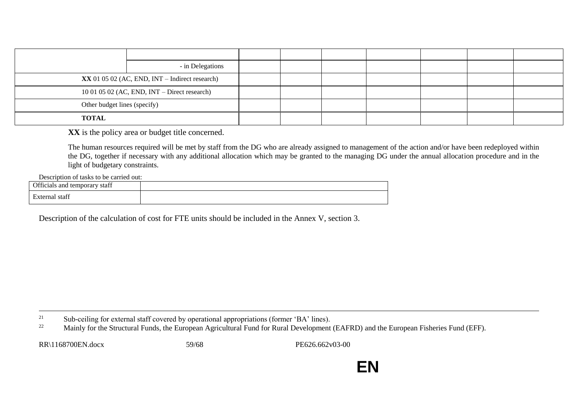|                                                           | - in Delegations                            |  |  |  |  |
|-----------------------------------------------------------|---------------------------------------------|--|--|--|--|
| $\mathbf{XX}$ 01 05 02 (AC, END, INT – Indirect research) |                                             |  |  |  |  |
|                                                           | $10010502$ (AC, END, INT – Direct research) |  |  |  |  |
| Other budget lines (specify)                              |                                             |  |  |  |  |
| <b>TOTAL</b>                                              |                                             |  |  |  |  |

**XX** is the policy area or budget title concerned.

The human resources required will be met by staff from the DG who are already assigned to management of the action and/or have been redeployed within the DG, together if necessary with any additional allocation which may be granted to the managing DG under the annual allocation procedure and in the light of budgetary constraints.

Description of tasks to be carried out:

| $\gamma$ fficials and $\gamma$<br>temporary<br>$6+6+1$<br>-stall |  |
|------------------------------------------------------------------|--|
| staff<br>Ð<br>ternal                                             |  |

Description of the calculation of cost for FTE units should be included in the Annex V, section 3.

<sup>21</sup> Sub-ceiling for external staff covered by operational appropriations (former 'BA' lines).<br>
Mainly for the Structural Eunds, the European Agricultural Eund for Pural Davelopment

<sup>22</sup> Mainly for the Structural Funds, the European Agricultural Fund for Rural Development (EAFRD) and the European Fisheries Fund (EFF).

RR\1168700EN.docx 59/68 PE626.662v03-00

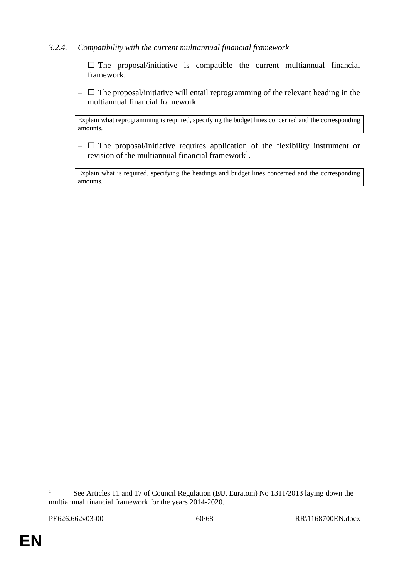#### *3.2.4. Compatibility with the current multiannual financial framework*

- $\Box$  The proposal/initiative is compatible the current multiannual financial framework.
- $\Box$  The proposal/initiative will entail reprogramming of the relevant heading in the multiannual financial framework.

Explain what reprogramming is required, specifying the budget lines concerned and the corresponding amounts.

 $\Box$  The proposal/initiative requires application of the flexibility instrument or revision of the multiannual financial framework<sup>1</sup>.

Explain what is required, specifying the headings and budget lines concerned and the corresponding amounts.

<sup>&</sup>lt;sup>1</sup> See Articles 11 and 17 of Council Regulation (EU, Euratom) No 1311/2013 laying down the multiannual financial framework for the years 2014-2020.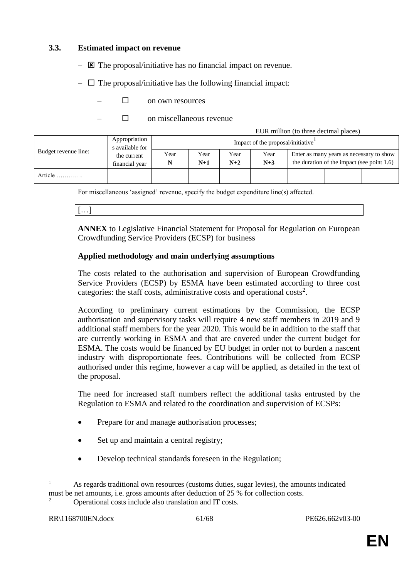#### **3.3. Estimated impact on revenue**

- $\boxtimes$  The proposal/initiative has no financial impact on revenue.
- $\Box$  The proposal/initiative has the following financial impact:
	- $\square$  on own resources
		- $\Box$  on miscellaneous revenue

EUR million (to three decimal places)

| Appropriation<br>s available for<br>Budget revenue line:<br>the current<br>financial year |      | Impact of the proposal/initiative |               |               |                                                                                           |  |  |
|-------------------------------------------------------------------------------------------|------|-----------------------------------|---------------|---------------|-------------------------------------------------------------------------------------------|--|--|
|                                                                                           | Year | Year<br>$N+1$                     | Year<br>$N+2$ | Year<br>$N+3$ | Enter as many years as necessary to show<br>the duration of the impact (see point $1.6$ ) |  |  |
| Article                                                                                   |      |                                   |               |               |                                                                                           |  |  |

For miscellaneous 'assigned' revenue, specify the budget expenditure line(s) affected.

| $\sim$ |  |  |  |
|--------|--|--|--|
|        |  |  |  |
|        |  |  |  |
|        |  |  |  |
| .      |  |  |  |
|        |  |  |  |

**ANNEX** to Legislative Financial Statement for Proposal for Regulation on European Crowdfunding Service Providers (ECSP) for business

#### **Applied methodology and main underlying assumptions**

The costs related to the authorisation and supervision of European Crowdfunding Service Providers (ECSP) by ESMA have been estimated according to three cost categories: the staff costs, administrative costs and operational costs<sup>2</sup>.

According to preliminary current estimations by the Commission, the ECSP authorisation and supervisory tasks will require 4 new staff members in 2019 and 9 additional staff members for the year 2020. This would be in addition to the staff that are currently working in ESMA and that are covered under the current budget for ESMA. The costs would be financed by EU budget in order not to burden a nascent industry with disproportionate fees. Contributions will be collected from ECSP authorised under this regime, however a cap will be applied, as detailed in the text of the proposal.

The need for increased staff numbers reflect the additional tasks entrusted by the Regulation to ESMA and related to the coordination and supervision of ECSPs:

- Prepare for and manage authorisation processes;
- Set up and maintain a central registry;
- Develop technical standards foreseen in the Regulation;

<sup>1</sup> As regards traditional own resources (customs duties, sugar levies), the amounts indicated must be net amounts, i.e. gross amounts after deduction of 25 % for collection costs.

<sup>2</sup> Operational costs include also translation and IT costs.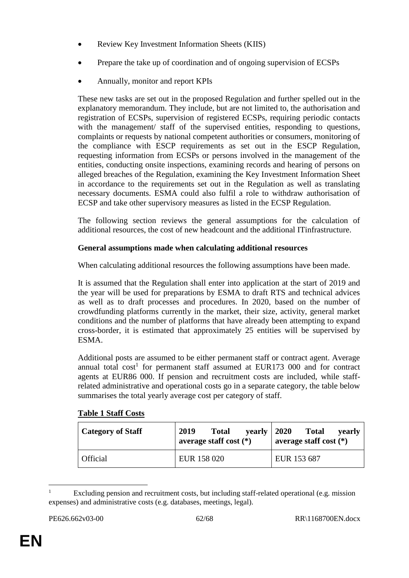- Review Key Investment Information Sheets (KIIS)
- Prepare the take up of coordination and of ongoing supervision of ECSPs
- Annually, monitor and report KPIs

These new tasks are set out in the proposed Regulation and further spelled out in the explanatory memorandum. They include, but are not limited to, the authorisation and registration of ECSPs, supervision of registered ECSPs, requiring periodic contacts with the management/ staff of the supervised entities, responding to questions, complaints or requests by national competent authorities or consumers, monitoring of the compliance with ESCP requirements as set out in the ESCP Regulation, requesting information from ECSPs or persons involved in the management of the entities, conducting onsite inspections, examining records and hearing of persons on alleged breaches of the Regulation, examining the Key Investment Information Sheet in accordance to the requirements set out in the Regulation as well as translating necessary documents. ESMA could also fulfil a role to withdraw authorisation of ECSP and take other supervisory measures as listed in the ECSP Regulation.

The following section reviews the general assumptions for the calculation of additional resources, the cost of new headcount and the additional ITinfrastructure.

#### **General assumptions made when calculating additional resources**

When calculating additional resources the following assumptions have been made.

It is assumed that the Regulation shall enter into application at the start of 2019 and the year will be used for preparations by ESMA to draft RTS and technical advices as well as to draft processes and procedures. In 2020, based on the number of crowdfunding platforms currently in the market, their size, activity, general market conditions and the number of platforms that have already been attempting to expand cross-border, it is estimated that approximately 25 entities will be supervised by ESMA.

Additional posts are assumed to be either permanent staff or contract agent. Average annual total  $cost<sup>1</sup>$  for permanent staff assumed at EUR173 000 and for contract agents at EUR86 000. If pension and recruitment costs are included, while staffrelated administrative and operational costs go in a separate category, the table below summarises the total yearly average cost per category of staff.

| <b>Category of Staff</b> | 2019<br><b>Total</b><br>average staff cost $(*)$ | $\gamma$ yearly   2020 Total<br><b>vearly</b><br>average staff cost $(*)$ |
|--------------------------|--------------------------------------------------|---------------------------------------------------------------------------|
| <b>Official</b>          | EUR 158 020                                      | EUR 153 687                                                               |

#### **Table 1 Staff Costs**

 $\overline{a}$ <sup>1</sup> Excluding pension and recruitment costs, but including staff-related operational (e.g. mission expenses) and administrative costs (e.g. databases, meetings, legal).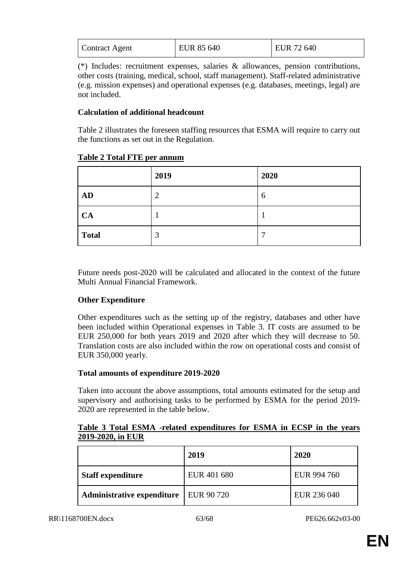| Contract Agent | EUR 85 640 | EUR 72 640 |
|----------------|------------|------------|
|                |            |            |

(\*) Includes: recruitment expenses, salaries & allowances, pension contributions, other costs (training, medical, school, staff management). Staff-related administrative (e.g. mission expenses) and operational expenses (e.g. databases, meetings, legal) are not included.

#### **Calculation of additional headcount**

Table 2 illustrates the foreseen staffing resources that ESMA will require to carry out the functions as set out in the Regulation.

#### **Table 2 Total FTE per annum**

|              | 2019   | 2020 |
|--------------|--------|------|
| AD           | ി<br>∠ | 6    |
| CA           |        |      |
| <b>Total</b> | 3      |      |

Future needs post-2020 will be calculated and allocated in the context of the future Multi Annual Financial Framework.

#### **Other Expenditure**

Other expenditures such as the setting up of the registry, databases and other have been included within Operational expenses in Table 3. IT costs are assumed to be EUR 250,000 for both years 2019 and 2020 after which they will decrease to 50. Translation costs are also included within the row on operational costs and consist of EUR 350,000 yearly.

#### **Total amounts of expenditure 2019-2020**

Taken into account the above assumptions, total amounts estimated for the setup and supervisory and authorising tasks to be performed by ESMA for the period 2019- 2020 are represented in the table below.

#### **Table 3 Total ESMA -related expenditures for ESMA in ECSP in the years 2019-2020, in EUR**

|                                                | 2019        | 2020        |
|------------------------------------------------|-------------|-------------|
| <b>Staff expenditure</b>                       | EUR 401 680 | EUR 994 760 |
| <b>Administrative expenditure</b>   EUR 90 720 |             | EUR 236 040 |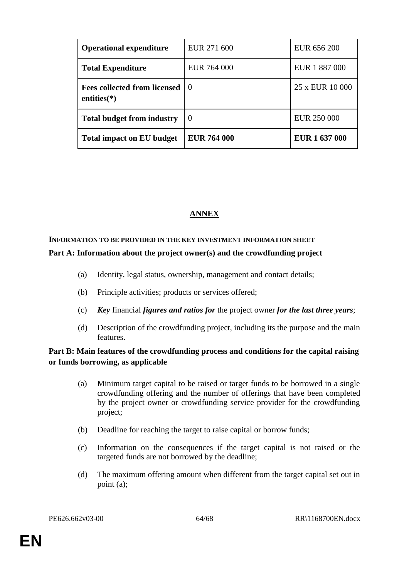| <b>Operational expenditure</b>                        | EUR 271 600        | EUR 656 200          |
|-------------------------------------------------------|--------------------|----------------------|
| <b>Total Expenditure</b>                              | EUR 764 000        | EUR 1 887 000        |
| <b>Fees collected from licensed</b><br>entities $(*)$ | - ()               | 25 x EUR 10 000      |
| <b>Total budget from industry</b>                     | $\Omega$           | EUR 250 000          |
| <b>Total impact on EU budget</b>                      | <b>EUR 764 000</b> | <b>EUR 1 637 000</b> |

#### **ANNEX**

## **INFORMATION TO BE PROVIDED IN THE KEY INVESTMENT INFORMATION SHEET**

#### **Part A: Information about the project owner(s) and the crowdfunding project**

- (a) Identity, legal status, ownership, management and contact details;
- (b) Principle activities; products or services offered;
- (c) *Key* financial *figures and ratios for* the project owner *for the last three years*;
- (d) Description of the crowdfunding project, including its the purpose and the main features.

#### **Part B: Main features of the crowdfunding process and conditions for the capital raising or funds borrowing, as applicable**

- (a) Minimum target capital to be raised or target funds to be borrowed in a single crowdfunding offering and the number of offerings that have been completed by the project owner or crowdfunding service provider for the crowdfunding project;
- (b) Deadline for reaching the target to raise capital or borrow funds;
- (c) Information on the consequences if the target capital is not raised or the targeted funds are not borrowed by the deadline;
- (d) The maximum offering amount when different from the target capital set out in point (a);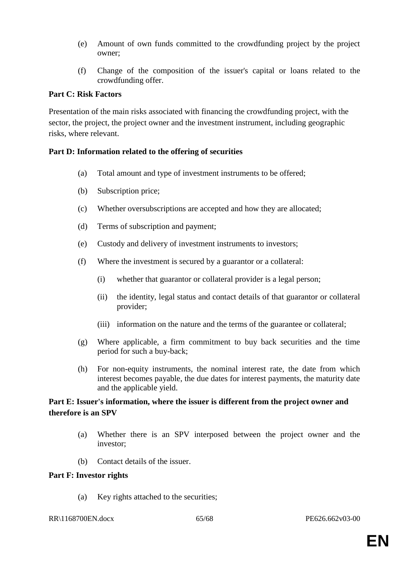- (e) Amount of own funds committed to the crowdfunding project by the project owner;
- (f) Change of the composition of the issuer's capital or loans related to the crowdfunding offer.

#### **Part C: Risk Factors**

Presentation of the main risks associated with financing the crowdfunding project, with the sector, the project, the project owner and the investment instrument, including geographic risks, where relevant.

#### **Part D: Information related to the offering of securities**

- (a) Total amount and type of investment instruments to be offered;
- (b) Subscription price;
- (c) Whether oversubscriptions are accepted and how they are allocated;
- (d) Terms of subscription and payment;
- (e) Custody and delivery of investment instruments to investors;
- (f) Where the investment is secured by a guarantor or a collateral:
	- (i) whether that guarantor or collateral provider is a legal person;
	- (ii) the identity, legal status and contact details of that guarantor or collateral provider;
	- (iii) information on the nature and the terms of the guarantee or collateral;
- (g) Where applicable, a firm commitment to buy back securities and the time period for such a buy-back;
- (h) For non-equity instruments, the nominal interest rate, the date from which interest becomes payable, the due dates for interest payments, the maturity date and the applicable yield.

#### **Part E: Issuer's information, where the issuer is different from the project owner and therefore is an SPV**

- (a) Whether there is an SPV interposed between the project owner and the investor;
- (b) Contact details of the issuer.

#### **Part F: Investor rights**

(a) Key rights attached to the securities;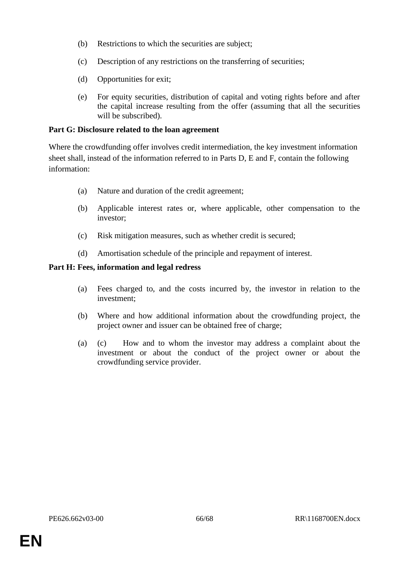- (b) Restrictions to which the securities are subject;
- (c) Description of any restrictions on the transferring of securities;
- (d) Opportunities for exit;
- (e) For equity securities, distribution of capital and voting rights before and after the capital increase resulting from the offer (assuming that all the securities will be subscribed).

#### **Part G: Disclosure related to the loan agreement**

Where the crowdfunding offer involves credit intermediation, the key investment information sheet shall, instead of the information referred to in Parts D, E and F, contain the following information:

- (a) Nature and duration of the credit agreement;
- (b) Applicable interest rates or, where applicable, other compensation to the investor;
- (c) Risk mitigation measures, such as whether credit is secured;
- (d) Amortisation schedule of the principle and repayment of interest.

#### **Part H: Fees, information and legal redress**

- (a) Fees charged to, and the costs incurred by, the investor in relation to the investment;
- (b) Where and how additional information about the crowdfunding project, the project owner and issuer can be obtained free of charge;
- (a) (c) How and to whom the investor may address a complaint about the investment or about the conduct of the project owner or about the crowdfunding service provider.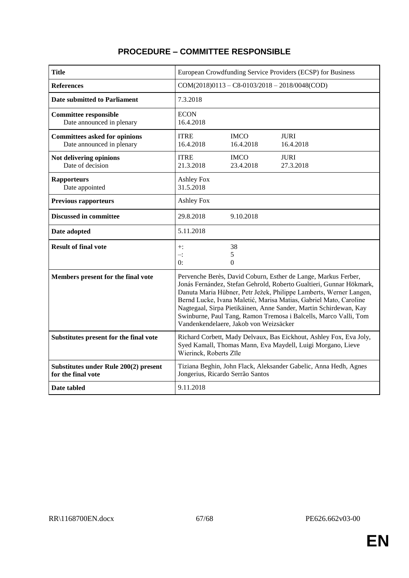|  |  | <b>PROCEDURE - COMMITTEE RESPONSIBLE</b> |
|--|--|------------------------------------------|
|--|--|------------------------------------------|

| <b>Title</b>                                                      | European Crowdfunding Service Providers (ECSP) for Business                                                                                                                                                                                                                                                                                                                                                                                                         |                           |                          |
|-------------------------------------------------------------------|---------------------------------------------------------------------------------------------------------------------------------------------------------------------------------------------------------------------------------------------------------------------------------------------------------------------------------------------------------------------------------------------------------------------------------------------------------------------|---------------------------|--------------------------|
| <b>References</b>                                                 | $COM(2018)0113 - C8 - 0103/2018 - 2018/0048(COD)$                                                                                                                                                                                                                                                                                                                                                                                                                   |                           |                          |
| <b>Date submitted to Parliament</b>                               | 7.3.2018                                                                                                                                                                                                                                                                                                                                                                                                                                                            |                           |                          |
| <b>Committee responsible</b><br>Date announced in plenary         | <b>ECON</b><br>16.4.2018                                                                                                                                                                                                                                                                                                                                                                                                                                            |                           |                          |
| <b>Committees asked for opinions</b><br>Date announced in plenary | <b>ITRE</b><br>16.4.2018                                                                                                                                                                                                                                                                                                                                                                                                                                            | <b>IMCO</b><br>16.4.2018  | <b>JURI</b><br>16.4.2018 |
| Not delivering opinions<br>Date of decision                       | <b>ITRE</b><br>21.3.2018                                                                                                                                                                                                                                                                                                                                                                                                                                            | <b>IMCO</b><br>23.4.2018  | <b>JURI</b><br>27.3.2018 |
| <b>Rapporteurs</b><br>Date appointed                              | <b>Ashley Fox</b><br>31.5.2018                                                                                                                                                                                                                                                                                                                                                                                                                                      |                           |                          |
| <b>Previous rapporteurs</b>                                       | <b>Ashley Fox</b>                                                                                                                                                                                                                                                                                                                                                                                                                                                   |                           |                          |
| <b>Discussed in committee</b>                                     | 29.8.2018                                                                                                                                                                                                                                                                                                                                                                                                                                                           | 9.10.2018                 |                          |
| Date adopted                                                      | 5.11.2018                                                                                                                                                                                                                                                                                                                                                                                                                                                           |                           |                          |
| <b>Result of final vote</b>                                       | $+$ :<br>$-$ :<br>0:                                                                                                                                                                                                                                                                                                                                                                                                                                                | 38<br>5<br>$\overline{0}$ |                          |
| Members present for the final vote                                | Pervenche Berès, David Coburn, Esther de Lange, Markus Ferber,<br>Jonás Fernández, Stefan Gehrold, Roberto Gualtieri, Gunnar Hökmark,<br>Danuta Maria Hübner, Petr Ježek, Philippe Lamberts, Werner Langen,<br>Bernd Lucke, Ivana Maletić, Marisa Matias, Gabriel Mato, Caroline<br>Nagtegaal, Sirpa Pietikäinen, Anne Sander, Martin Schirdewan, Kay<br>Swinburne, Paul Tang, Ramon Tremosa i Balcells, Marco Valli, Tom<br>Vandenkendelaere, Jakob von Weizsäcker |                           |                          |
| Substitutes present for the final vote                            | Richard Corbett, Mady Delvaux, Bas Eickhout, Ashley Fox, Eva Joly,<br>Syed Kamall, Thomas Mann, Eva Maydell, Luigi Morgano, Lieve<br>Wierinck, Roberts Zīle                                                                                                                                                                                                                                                                                                         |                           |                          |
| Substitutes under Rule 200(2) present<br>for the final vote       | Tiziana Beghin, John Flack, Aleksander Gabelic, Anna Hedh, Agnes<br>Jongerius, Ricardo Serrão Santos                                                                                                                                                                                                                                                                                                                                                                |                           |                          |
| Date tabled                                                       | 9.11.2018                                                                                                                                                                                                                                                                                                                                                                                                                                                           |                           |                          |